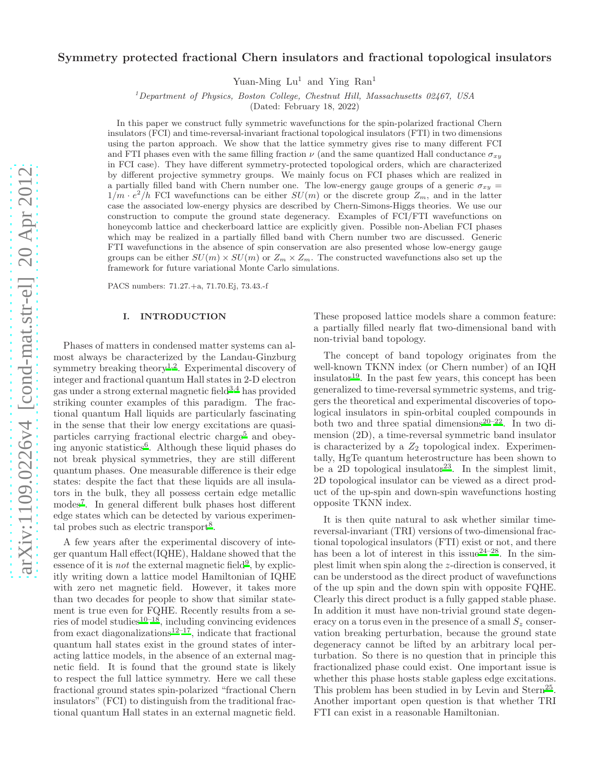# Symmetry protected fractional Chern insulators and fractional topological insulators

Yuan-Ming  $Lu^1$  and Ying  $Ran^1$ 

<sup>1</sup>Department of Physics, Boston College, Chestnut Hill, Massachusetts 02467, USA

(Dated: February 18, 2022)

In this paper we construct fully symmetric wavefunctions for the spin-polarized fractional Chern insulators (FCI) and time-reversal-invariant fractional topological insulators (FTI) in two dimensions using the parton approach. We show that the lattice symmetry gives rise to many different FCI and FTI phases even with the same filling fraction  $\nu$  (and the same quantized Hall conductance  $\sigma_{xy}$ ) in FCI case). They have different symmetry-protected topological orders, which are characterized by different projective symmetry groups. We mainly focus on FCI phases which are realized in a partially filled band with Chern number one. The low-energy gauge groups of a generic  $\sigma_{xy}$  $1/m \cdot e^2/h$  FCI wavefunctions can be either  $SU(m)$  or the discrete group  $Z_m$ , and in the latter case the associated low-energy physics are described by Chern-Simons-Higgs theories. We use our construction to compute the ground state degeneracy. Examples of FCI/FTI wavefunctions on honeycomb lattice and checkerboard lattice are explicitly given. Possible non-Abelian FCI phases which may be realized in a partially filled band with Chern number two are discussed. Generic FTI wavefunctions in the absence of spin conservation are also presented whose low-energy gauge groups can be either  $SU(m) \times SU(m)$  or  $Z_m \times Z_m$ . The constructed wavefunctions also set up the framework for future variational Monte Carlo simulations.

PACS numbers: 71.27.+a, 71.70.Ej, 73.43.-f

# I. INTRODUCTION

Phases of matters in condensed matter systems can almost always be characterized by the Landau-Ginzburg symmetry breaking theory<sup>[1](#page-22-0)[,2](#page-22-1)</sup>. Experimental discovery of integer and fractional quantum Hall states in 2-D electron gas under a strong external magnetic field[3](#page-22-2)[,4](#page-22-3) has provided striking counter examples of this paradigm. The fractional quantum Hall liquids are particularly fascinating in the sense that their low energy excitations are quasi-particles carrying fractional electric charge<sup>[5](#page-22-4)</sup> and obey-ing anyonic statistics<sup>[6](#page-22-5)</sup>. Although these liquid phases do not break physical symmetries, they are still different quantum phases. One measurable difference is their edge states: despite the fact that these liquids are all insulators in the bulk, they all possess certain edge metallic modes[7](#page-22-6) . In general different bulk phases host different edge states which can be detected by various experimen-tal probes such as electric transport<sup>[8](#page-22-7)</sup>.

A few years after the experimental discovery of integer quantum Hall effect(IQHE), Haldane showed that the essence of it is *not* the external magnetic field<sup>[9](#page-22-8)</sup>, by explicitly writing down a lattice model Hamiltonian of IQHE with zero net magnetic field. However, it takes more than two decades for people to show that similar statement is true even for FQHE. Recently results from a se-ries of model studies<sup>[10](#page-22-9)[–18](#page-22-10)</sup>, including convincing evidences from exact diagonalizations<sup>[12](#page-22-11)[–17](#page-22-12)</sup>, indicate that fractional quantum hall states exist in the ground states of interacting lattice models, in the absence of an external magnetic field. It is found that the ground state is likely to respect the full lattice symmetry. Here we call these fractional ground states spin-polarized "fractional Chern insulators" (FCI) to distinguish from the traditional fractional quantum Hall states in an external magnetic field.

These proposed lattice models share a common feature: a partially filled nearly flat two-dimensional band with non-trivial band topology.

The concept of band topology originates from the well-known TKNN index (or Chern number) of an IQH insulator<sup>[19](#page-22-13)</sup>. In the past few years, this concept has been generalized to time-reversal symmetric systems, and triggers the theoretical and experimental discoveries of topological insulators in spin-orbital coupled compounds in both two and three spatial dimensions<sup>[20](#page-22-14)[–22](#page-22-15)</sup>. In two dimension (2D), a time-reversal symmetric band insulator is characterized by a  $Z_2$  topological index. Experimentally, HgTe quantum heterostructure has been shown to be a  $2D$  topological insulator<sup>[23](#page-22-16)</sup>. In the simplest limit, 2D topological insulator can be viewed as a direct product of the up-spin and down-spin wavefunctions hosting opposite TKNN index.

It is then quite natural to ask whether similar timereversal-invariant (TRI) versions of two-dimensional fractional topological insulators (FTI) exist or not, and there has been a lot of interest in this issue<sup>[24](#page-22-17)[–28](#page-22-18)</sup>. In the simplest limit when spin along the z-direction is conserved, it can be understood as the direct product of wavefunctions of the up spin and the down spin with opposite FQHE. Clearly this direct product is a fully gapped stable phase. In addition it must have non-trivial ground state degeneracy on a torus even in the presence of a small  $S_z$  conservation breaking perturbation, because the ground state degeneracy cannot be lifted by an arbitrary local perturbation. So there is no question that in principle this fractionalized phase could exist. One important issue is whether this phase hosts stable gapless edge excitations. This problem has been studied in by Levin and Stern<sup>[25](#page-22-19)</sup>. Another important open question is that whether TRI FTI can exist in a reasonable Hamiltonian.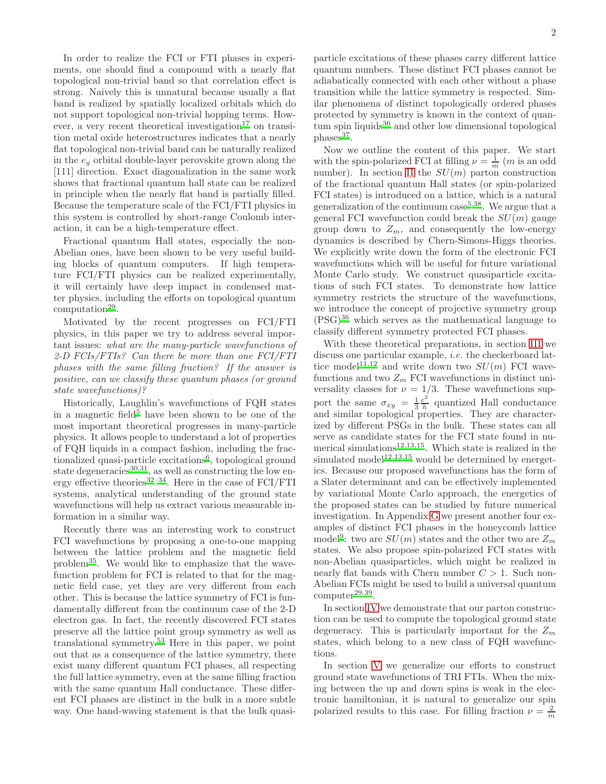In order to realize the FCI or FTI phases in experiments, one should find a compound with a nearly flat topological non-trivial band so that correlation effect is strong. Naively this is unnatural because usually a flat band is realized by spatially localized orbitals which do not support topological non-trivial hopping terms. How-ever, a very recent theoretical investigation<sup>[17](#page-22-12)</sup> on transition metal oxide heterostructures indicates that a nearly flat topological non-trivial band can be naturally realized in the  $e_q$  orbital double-layer perovskite grown along the [111] direction. Exact diagonalization in the same work shows that fractional quantum hall state can be realized in principle when the nearly flat band is partially filled. Because the temperature scale of the FCI/FTI physics in this system is controlled by short-range Coulomb interaction, it can be a high-temperature effect.

Fractional quantum Hall states, especially the non-Abelian ones, have been shown to be very useful building blocks of quantum computers. If high temperature FCI/FTI physics can be realized experimentally, it will certainly have deep impact in condensed matter physics, including the efforts on topological quantum  $computation<sup>29</sup>$  $computation<sup>29</sup>$  $computation<sup>29</sup>$ .

Motivated by the recent progresses on FCI/FTI physics, in this paper we try to address several important issues: what are the many-particle wavefunctions of 2-D FCIs/FTIs? Can there be more than one FCI/FTI phases with the same filling fraction? If the answer is positive, can we classify these quantum phases (or ground state wavefunctions)?

Historically, Laughlin's wavefunctions of FQH states in a magnetic field<sup>[5](#page-22-4)</sup> have been shown to be one of the most important theoretical progresses in many-particle physics. It allows people to understand a lot of properties of FQH liquids in a compact fashion, including the frac-tionalized quasi-particle excitations<sup>[6](#page-22-5)</sup>, topological ground state degeneracies<sup>[30](#page-22-21)[,31](#page-22-22)</sup>, as well as constructing the low en-ergy effective theories<sup>[32](#page-22-23)[–34](#page-22-24)</sup>. Here in the case of  $FCI/FTI$ systems, analytical understanding of the ground state wavefunctions will help us extract various measurable information in a similar way.

Recently there was an interesting work to construct FCI wavefunctions by proposing a one-to-one mapping between the lattice problem and the magnetic field problem[35](#page-22-25). We would like to emphasize that the wavefunction problem for FCI is related to that for the magnetic field case, yet they are very different from each other. This is because the lattice symmetry of FCI is fundamentally different from the continuum case of the 2-D electron gas. In fact, the recently discovered FCI states preserve all the lattice point group symmetry as well as translational symmetry.[53](#page-22-26) Here in this paper, we point out that as a consequence of the lattice symmetry, there exist many different quantum FCI phases, all respecting the full lattice symmetry, even at the same filling fraction with the same quantum Hall conductance. These different FCI phases are distinct in the bulk in a more subtle way. One hand-waving statement is that the bulk quasiparticle excitations of these phases carry different lattice quantum numbers. These distinct FCI phases cannot be adiabatically connected with each other without a phase transition while the lattice symmetry is respected. Similar phenomena of distinct topologically ordered phases protected by symmetry is known in the context of quan $tum$  spin liquids<sup>[36](#page-22-27)</sup> and other low dimensional topological phases<sup>[37](#page-22-28)</sup>.

Now we outline the content of this paper. We start with the spin-polarized FCI at filling  $\nu = \frac{1}{m}$  (*m* is an odd number). In section [II](#page-2-0) the  $SU(m)$  parton construction of the fractional quantum Hall states (or spin-polarized FCI states) is introduced on a lattice, which is a natural generalization of the continuum case  $5,38$  $5,38$ . We argue that a general FCI wavefunction could break the  $SU(m)$  gauge group down to  $Z_m$ , and consequently the low-energy dynamics is described by Chern-Simons-Higgs theories. We explicitly write down the form of the electronic FCI wavefunctions which will be useful for future variational Monte Carlo study. We construct quasiparticle excitations of such FCI states. To demonstrate how lattice symmetry restricts the structure of the wavefunctions, we introduce the concept of projective symmetry group  $(PSG)^{36}$  $(PSG)^{36}$  $(PSG)^{36}$  which serves as the mathematical language to classify different symmetry protected FCI phases.

With these theoretical preparations, in section [III](#page-6-0) we discuss one particular example, i.e. the checkerboard lat-tice model<sup>[11](#page-22-30)[,12](#page-22-11)</sup> and write down two  $SU(m)$  FCI wavefunctions and two  $Z_m$  FCI wavefunctions in distinct universality classes for  $\nu = 1/3$ . These wavefunctions support the same  $\sigma_{xy} = \frac{1}{3} \frac{e^2}{h}$  $\frac{e^2}{h}$  quantized Hall conductance and similar topological properties. They are characterized by different PSGs in the bulk. These states can all serve as candidate states for the FCI state found in nu-merical simulations<sup>[12](#page-22-11)[,13](#page-22-31)[,15](#page-22-32)</sup>. Which state is realized in the simulated model<sup>[12](#page-22-11)[,13](#page-22-31)[,15](#page-22-32)</sup> would be determined by energetics. Because our proposed wavefunctions has the form of a Slater determinant and can be effectively implemented by variational Monte Carlo approach, the energetics of the proposed states can be studied by future numerical investigation. In Appendix [G](#page-19-0) we present another four examples of distinct FCI phases in the honeycomb lattice model<sup>[9](#page-22-8)</sup>: two are  $SU(m)$  states and the other two are  $Z_m$ states. We also propose spin-polarized FCI states with non-Abelian quasiparticles, which might be realized in nearly flat bands with Chern number  $C > 1$ . Such non-Abelian FCIs might be used to build a universal quantum  $\text{computer}^{29,39}.$  $\text{computer}^{29,39}.$  $\text{computer}^{29,39}.$  $\text{computer}^{29,39}.$ 

In section [IV](#page-9-0) we demonstrate that our parton construction can be used to compute the topological ground state degeneracy. This is particularly important for the  $Z_m$ states, which belong to a new class of FQH wavefunctions.

In section [V](#page-11-0) we generalize our efforts to construct ground state wavefunctions of TRI FTIs. When the mixing between the up and down spins is weak in the electronic hamiltonian, it is natural to generalize our spin polarized results to this case. For filling fraction  $\nu = \frac{2}{m}$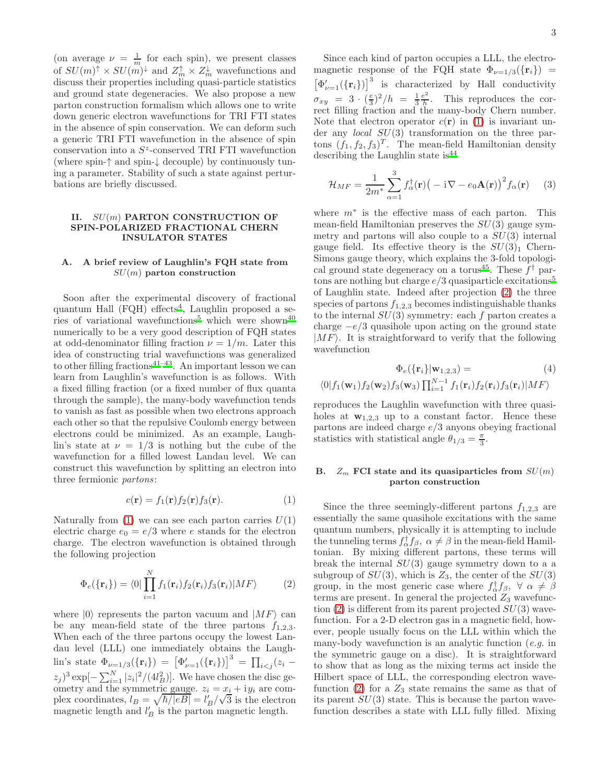(on average  $\nu = \frac{1}{m}$  for each spin), we present classes of  $SU(m)^{\uparrow} \times SU(m)^{\downarrow}$  and  $Z_m^{\uparrow} \times Z_m^{\downarrow}$  wavefunctions and discuss their properties including quasi-particle statistics and ground state degeneracies. We also propose a new parton construction formalism which allows one to write down generic electron wavefunctions for TRI FTI states in the absence of spin conservation. We can deform such a generic TRI FTI wavefunction in the absence of spin conservation into a  $S^z$ -conserved TRI FTI wavefunction (where spin-↑ and spin-↓ decouple) by continuously tuning a parameter. Stability of such a state against perturbations are briefly discussed.

#### <span id="page-2-0"></span>II. SU(m) PARTON CONSTRUCTION OF SPIN-POLARIZED FRACTIONAL CHERN INSULATOR STATES

# A. A brief review of Laughlin's FQH state from  $SU(m)$  parton construction

Soon after the experimental discovery of fractional quantum Hall (FQH) effects<sup>[4](#page-22-3)</sup>, Laughlin proposed a se-ries of variational wavefunctions<sup>[5](#page-22-4)</sup> which were shown<sup>[40](#page-22-34)</sup> numerically to be a very good description of FQH states at odd-denominator filling fraction  $\nu = 1/m$ . Later this idea of constructing trial wavefunctions was generalized to other filling fractions<sup>[41](#page-22-35)[–43](#page-22-36)</sup>. An important lesson we can learn from Laughlin's wavefunction is as follows. With a fixed filling fraction (or a fixed number of flux quanta through the sample), the many-body wavefunction tends to vanish as fast as possible when two electrons approach each other so that the repulsive Coulomb energy between electrons could be minimized. As an example, Laughlin's state at  $\nu = 1/3$  is nothing but the cube of the wavefunction for a filled lowest Landau level. We can construct this wavefunction by splitting an electron into three fermionic partons:

<span id="page-2-1"></span>
$$
c(\mathbf{r}) = f_1(\mathbf{r}) f_2(\mathbf{r}) f_3(\mathbf{r}). \tag{1}
$$

Naturally from [\(1\)](#page-2-1) we can see each parton carries  $U(1)$ electric charge  $e_0 = e/3$  where e stands for the electron charge. The electron wavefunction is obtained through the following projection

<span id="page-2-2"></span>
$$
\Phi_e(\{\mathbf{r}_i\}) = \langle 0|\prod_{i=1}^N f_1(\mathbf{r}_i)f_2(\mathbf{r}_i)f_3(\mathbf{r}_i)|MF\rangle \tag{2}
$$

where  $|0\rangle$  represents the parton vacuum and  $|MF\rangle$  can be any mean-field state of the three partons  $f_{1,2,3}$ . When each of the three partons occupy the lowest Landau level (LLL) one immediately obtains the Laughlin's state  $\Phi_{\nu=1/3}(\{\mathbf{r}_i\}) = [\Phi_{\nu=1}'(\{\mathbf{r}_i\})]^3 = \prod_{i < j} (z_i (z_j)^3 \exp[-\sum_{i=1}^N |z_i|^2/(4l_B^2)]$ . We have chosen the disc geometry and the symmetric gauge.  $z_i = x_i + iy_i$  are complex coordinates,  $l_B = \sqrt{\hbar/|eB|} = l'_B/\sqrt{3}$  is the electron magnetic length and  $l'_B$  is the parton magnetic length.

Since each kind of parton occupies a LLL, the electromagnetic response of the FQH state  $\Phi_{\nu=1/3}(\{\mathbf{r}_i\})$  =  $[\Phi_{\nu=1}'({\bf r}_i)]^3$  is characterized by Hall conductivity  $\sigma_{xy} = 3 \cdot (\frac{e}{3})^2/h = \frac{1}{3} \frac{e^2}{h}$  $\frac{e^2}{h}$ . This reproduces the correct filling fraction and the many-body Chern number. Note that electron operator  $c(\mathbf{r})$  in [\(1\)](#page-2-1) is invariant under any local SU(3) transformation on the three partons  $(f_1, f_2, f_3)^T$ . The mean-field Hamiltonian density describing the Laughlin state is  $44$ 

$$
\mathcal{H}_{MF} = \frac{1}{2m^*} \sum_{\alpha=1}^{3} f_{\alpha}^{\dagger}(\mathbf{r}) \big( -\mathrm{i} \nabla - e_0 \mathbf{A}(\mathbf{r}) \big)^2 f_{\alpha}(\mathbf{r}) \qquad (3)
$$

where  $m^*$  is the effective mass of each parton. This mean-field Hamiltonian preserves the  $SU(3)$  gauge symmetry and partons will also couple to a  $SU(3)$  internal gauge field. Its effective theory is the  $SU(3)_1$  Chern-Simons gauge theory, which explains the 3-fold topologi-cal ground state degeneracy on a torus<sup>[45](#page-22-38)</sup>. These  $f^{\dagger}$  partons are nothing but charge  $e/3$  quasiparticle excitations<sup>[5](#page-22-4)</sup> of Laughlin state. Indeed after projection [\(2\)](#page-2-2) the three species of partons  $f_{1,2,3}$  becomes indistinguishable thanks to the internal  $SU(3)$  symmetry: each f parton creates a charge  $-e/3$  quasihole upon acting on the ground state  $|MF\rangle$ . It is straightforward to verify that the following wavefunction

$$
\Phi_e({\mathbf{r}_i} | \mathbf{w}_{1,2,3}) = (4)
$$
  

$$
\langle 0 | f_1(\mathbf{w}_1) f_2(\mathbf{w}_2) f_3(\mathbf{w}_3) \prod_{i=1}^{N-1} f_1(\mathbf{r}_i) f_2(\mathbf{r}_i) f_3(\mathbf{r}_i) | MF \rangle
$$

reproduces the Laughlin wavefunction with three quasiholes at  $\mathbf{w}_{1,2,3}$  up to a constant factor. Hence these partons are indeed charge  $e/3$  anyons obeying fractional statistics with statistical angle  $\theta_{1/3} = \frac{\pi}{3}$ .

#### B.  $Z_m$  FCI state and its quasiparticles from  $SU(m)$ parton construction

Since the three seemingly-different partons  $f_{1,2,3}$  are essentially the same quasihole excitations with the same quantum numbers, physically it is attempting to include the tunneling terms  $f_{\alpha}^{\dagger} f_{\beta}, \ \alpha \neq \beta$  in the mean-field Hamiltonian. By mixing different partons, these terms will break the internal  $SU(3)$  gauge symmetry down to a a subgroup of  $SU(3)$ , which is  $Z_3$ , the center of the  $SU(3)$ group, in the most generic case where  $f^{\dagger}_{\alpha} f_{\beta}$ ,  $\forall \alpha \neq \beta$ terms are present. In general the projected  $Z_3$  wavefunction  $(2)$  is different from its parent projected  $SU(3)$  wavefunction. For a 2-D electron gas in a magnetic field, however, people usually focus on the LLL within which the many-body wavefunction is an analytic function  $(e.g.$  in the symmetric gauge on a disc). It is straightforward to show that as long as the mixing terms act inside the Hilbert space of LLL, the corresponding electron wave-function [\(2\)](#page-2-2) for a  $Z_3$  state remains the same as that of its parent  $SU(3)$  state. This is because the parton wavefunction describes a state with LLL fully filled. Mixing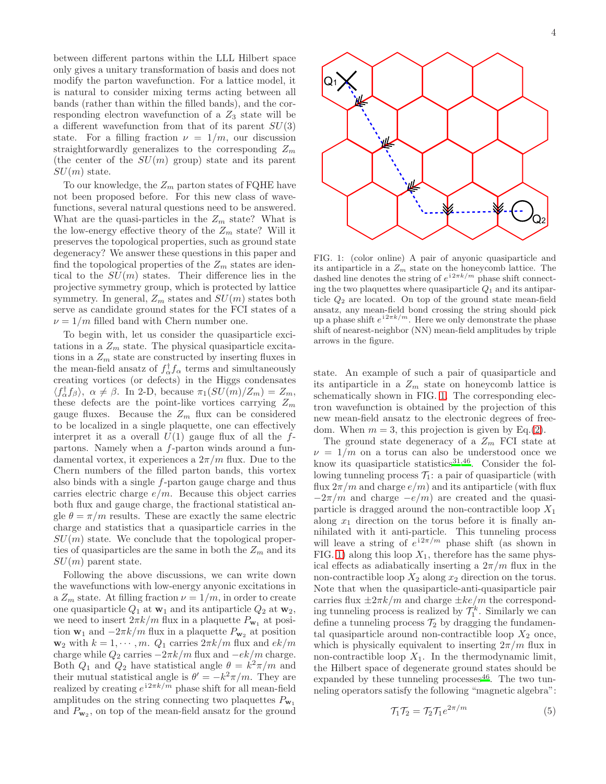between different partons within the LLL Hilbert space only gives a unitary transformation of basis and does not modify the parton wavefunction. For a lattice model, it is natural to consider mixing terms acting between all bands (rather than within the filled bands), and the corresponding electron wavefunction of a  $Z_3$  state will be a different wavefunction from that of its parent  $SU(3)$ state. For a filling fraction  $\nu = 1/m$ , our discussion straightforwardly generalizes to the corresponding  $Z_m$ (the center of the  $SU(m)$  group) state and its parent  $SU(m)$  state.

To our knowledge, the  $Z_m$  parton states of FQHE have not been proposed before. For this new class of wavefunctions, several natural questions need to be answered. What are the quasi-particles in the  $Z_m$  state? What is the low-energy effective theory of the  $Z_m$  state? Will it preserves the topological properties, such as ground state degeneracy? We answer these questions in this paper and find the topological properties of the  $Z_m$  states are identical to the  $SU(m)$  states. Their difference lies in the projective symmetry group, which is protected by lattice symmetry. In general,  $Z_m$  states and  $SU(m)$  states both serve as candidate ground states for the FCI states of a  $\nu = 1/m$  filled band with Chern number one.

To begin with, let us consider the quasiparticle excitations in a  $Z_m$  state. The physical quasiparticle excitations in a  $Z_m$  state are constructed by inserting fluxes in the mean-field ansatz of  $f_{\alpha}^{\dagger} f_{\alpha}$  terms and simultaneously creating vortices (or defects) in the Higgs condensates  $\langle f_{\alpha}^{\dagger} f_{\beta} \rangle$ ,  $\alpha \neq \beta$ . In 2-D, because  $\pi_1(SU(m)/Z_m) = Z_m$ , these defects are the point-like vortices carrying  $Z_m$ gauge fluxes. Because the  $Z_m$  flux can be considered to be localized in a single plaquette, one can effectively interpret it as a overall  $U(1)$  gauge flux of all the fpartons. Namely when a f-parton winds around a fundamental vortex, it experiences a  $2\pi/m$  flux. Due to the Chern numbers of the filled parton bands, this vortex also binds with a single f-parton gauge charge and thus carries electric charge  $e/m$ . Because this object carries both flux and gauge charge, the fractional statistical angle  $\theta = \pi/m$  results. These are exactly the same electric charge and statistics that a quasiparticle carries in the  $SU(m)$  state. We conclude that the topological properties of quasiparticles are the same in both the  $Z_m$  and its  $SU(m)$  parent state.

Following the above discussions, we can write down the wavefunctions with low-energy anyonic excitations in a  $Z_m$  state. At filling fraction  $\nu = 1/m$ , in order to create one quasiparticle  $Q_1$  at  $\mathbf{w}_1$  and its antiparticle  $Q_2$  at  $\mathbf{w}_2$ , we need to insert  $2\pi k/m$  flux in a plaquette  $P_{\mathbf{w}_1}$  at position  $\mathbf{w}_1$  and  $-2\pi k/m$  flux in a plaquette  $P_{\mathbf{w}_2}$  at position  $\mathbf{w}_2$  with  $k = 1, \dots, m$ .  $Q_1$  carries  $2\pi k/m$  flux and  $ek/m$ charge while  $Q_2$  carries  $-2\pi k/m$  flux and  $-e^k/m$  charge. Both  $Q_1$  and  $Q_2$  have statistical angle  $\theta = k^2 \pi / m$  and their mutual statistical angle is  $\theta' = -k^2 \pi/m$ . They are realized by creating  $e^{i2\pi k/m}$  phase shift for all mean-field amplitudes on the string connecting two plaquettes  $P_{\mathbf{w}_1}$ and  $P_{\mathbf{w}_2}$ , on top of the mean-field ansatz for the ground



<span id="page-3-0"></span>FIG. 1: (color online) A pair of anyonic quasiparticle and its antiparticle in a  $Z_m$  state on the honeycomb lattice. The dashed line denotes the string of  $e^{i2\pi k/m}$  phase shift connecting the two plaquettes where quasiparticle  $Q_1$  and its antiparticle  $Q_2$  are located. On top of the ground state mean-field ansatz, any mean-field bond crossing the string should pick up a phase shift  $e^{i2\pi k/m}$ . Here we only demonstrate the phase shift of nearest-neighbor (NN) mean-field amplitudes by triple arrows in the figure.

state. An example of such a pair of quasiparticle and its antiparticle in a  $Z_m$  state on honeycomb lattice is schematically shown in FIG. [1.](#page-3-0) The corresponding electron wavefunction is obtained by the projection of this new mean-field ansatz to the electronic degrees of freedom. When  $m = 3$ , this projection is given by Eq.[\(2\)](#page-2-2).

The ground state degeneracy of a  $Z_m$  FCI state at  $\nu = 1/m$  on a torus can also be understood once we know its quasiparticle statistics<sup>[31](#page-22-22)[,46](#page-22-39)</sup>. Consider the following tunneling process  $\mathcal{T}_1$ : a pair of quasiparticle (with flux  $2\pi/m$  and charge  $e/m$ ) and its antiparticle (with flux  $-2\pi/m$  and charge  $-e/m$ ) are created and the quasiparticle is dragged around the non-contractible loop  $X_1$ along  $x_1$  direction on the torus before it is finally annihilated with it anti-particle. This tunneling process will leave a string of  $e^{i2\pi/m}$  phase shift (as shown in FIG. [1\)](#page-3-0) along this loop  $X_1$ , therefore has the same physical effects as adiabatically inserting a  $2\pi/m$  flux in the non-contractible loop  $X_2$  along  $x_2$  direction on the torus. Note that when the quasiparticle-anti-quasiparticle pair carries flux  $\pm 2\pi k/m$  and charge  $\pm ke/m$  the corresponding tunneling process is realized by  $\mathcal{T}_1^k$ . Similarly we can define a tunneling process  $\mathcal{T}_2$  by dragging the fundamental quasiparticle around non-contractible loop  $X_2$  once, which is physically equivalent to inserting  $2\pi/m$  flux in non-contractible loop  $X_1$ . In the thermodynamic limit, the Hilbert space of degenerate ground states should be expanded by these tunneling processes  $46$ . The two tunneling operators satisfy the following "magnetic algebra":

$$
\mathcal{T}_1 \mathcal{T}_2 = \mathcal{T}_2 \mathcal{T}_1 e^{2\pi/m} \tag{5}
$$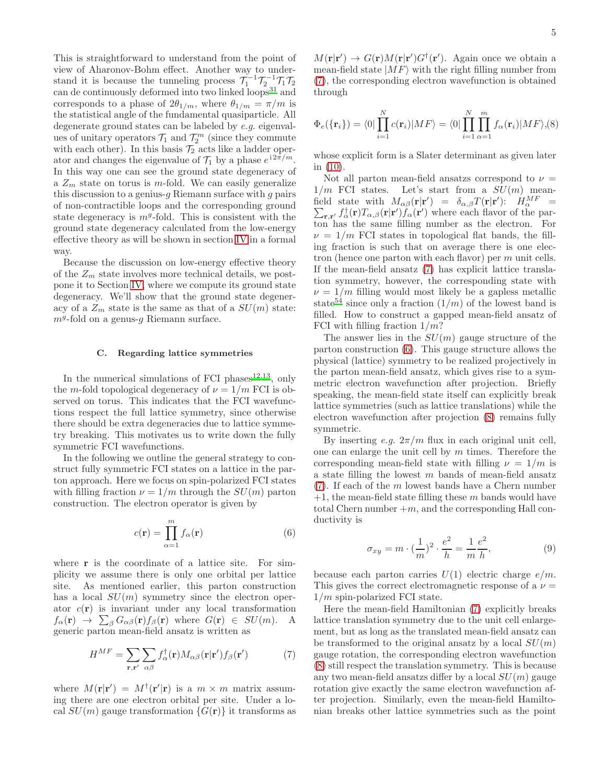This is straightforward to understand from the point of view of Aharonov-Bohm effect. Another way to understand it is because the tunneling process  $\mathcal{T}_1^{-1}\mathcal{T}_2^{-1}\mathcal{T}_1\mathcal{T}_2$ can de continuously deformed into two linked loops<sup>[31](#page-22-22)</sup> and corresponds to a phase of  $2\theta_{1/m}$ , where  $\theta_{1/m} = \pi/m$  is the statistical angle of the fundamental quasiparticle. All degenerate ground states can be labeled by e.g. eigenvalues of unitary operators  $\mathcal{T}_1$  and  $\mathcal{T}_2^m$  (since they commute with each other). In this basis  $\mathcal{T}_2$  acts like a ladder operator and changes the eigenvalue of  $\mathcal{T}_1$  by a phase  $e^{i2\pi/m}$ . In this way one can see the ground state degeneracy of a  $Z_m$  state on torus is m-fold. We can easily generalize this discussion to a genius- $g$  Riemann surface with  $g$  pairs of non-contractible loops and the corresponding ground state degeneracy is  $m<sup>g</sup>$ -fold. This is consistent with the ground state degeneracy calculated from the low-energy effective theory as will be shown in section [IV](#page-9-0) in a formal way.

Because the discussion on low-energy effective theory of the  $Z_m$  state involves more technical details, we postpone it to Section [IV,](#page-9-0) where we compute its ground state degeneracy. We'll show that the ground state degeneracy of a  $Z_m$  state is the same as that of a  $SU(m)$  state:  $m<sup>g</sup>$ -fold on a genus-g Riemann surface.

#### C. Regarding lattice symmetries

In the numerical simulations of FCI phases $12,13$  $12,13$ , only the m-fold topological degeneracy of  $\nu = 1/m$  FCI is observed on torus. This indicates that the FCI wavefunctions respect the full lattice symmetry, since otherwise there should be extra degeneracies due to lattice symmetry breaking. This motivates us to write down the fully symmetric FCI wavefunctions.

In the following we outline the general strategy to construct fully symmetric FCI states on a lattice in the parton approach. Here we focus on spin-polarized FCI states with filling fraction  $\nu = 1/m$  through the  $SU(m)$  parton construction. The electron operator is given by

<span id="page-4-1"></span>
$$
c(\mathbf{r}) = \prod_{\alpha=1}^{m} f_{\alpha}(\mathbf{r})
$$
 (6)

where **r** is the coordinate of a lattice site. For simplicity we assume there is only one orbital per lattice site. As mentioned earlier, this parton construction has a local  $SU(m)$  symmetry since the electron operator  $c(\mathbf{r})$  is invariant under any local transformation  $f_{\alpha}(\mathbf{r}) \rightarrow \sum_{\beta} G_{\alpha\beta}(\mathbf{r}) f_{\beta}(\mathbf{r})$  where  $G(\mathbf{r}) \in SU(m)$ . A generic parton mean-field ansatz is written as

<span id="page-4-0"></span>
$$
H^{MF} = \sum_{\mathbf{r}, \mathbf{r}'} \sum_{\alpha \beta} f_{\alpha}^{\dagger}(\mathbf{r}) M_{\alpha \beta}(\mathbf{r}|\mathbf{r}') f_{\beta}(\mathbf{r}')
$$
(7)

where  $M(\mathbf{r}|\mathbf{r}') = M^{\dagger}(\mathbf{r}'|\mathbf{r})$  is a  $m \times m$  matrix assuming there are one electron orbital per site. Under a local  $SU(m)$  gauge transformation  $\{G(\mathbf{r})\}$  it transforms as

 $M(\mathbf{r}|\mathbf{r}') \to G(\mathbf{r})M(\mathbf{r}|\mathbf{r}')G^{\dagger}(\mathbf{r}')$ . Again once we obtain a mean-field state  $|MF\rangle$  with the right filling number from [\(7\)](#page-4-0), the corresponding electron wavefunction is obtained through

<span id="page-4-2"></span>
$$
\Phi_e(\{\mathbf{r}_i\}) = \langle 0|\prod_{i=1}^N c(\mathbf{r}_i)|MF\rangle = \langle 0|\prod_{i=1}^N \prod_{\alpha=1}^m f_\alpha(\mathbf{r}_i)|MF\rangle, (8)
$$

whose explicit form is a Slater determinant as given later in [\(10\)](#page-5-0).

Not all parton mean-field ansatzs correspond to  $\nu =$  $1/m$  FCI states. Let's start from a  $SU(m)$  meanfield state with  $M_{\alpha\beta}(\mathbf{r}|\mathbf{r}') = \delta_{\alpha,\beta}T(\mathbf{r}|\mathbf{r}')$ :  $H_{\alpha}^{MF}$ field state with  $M_{\alpha\beta}(\mathbf{r}|\mathbf{r}') = \delta_{\alpha,\beta} T(\mathbf{r}|\mathbf{r}'): H_{\alpha}^{MF} = \sum_{\mathbf{r},\mathbf{r}'} f_{\alpha}^{\dagger}(\mathbf{r}) T_{\alpha,\beta}(\mathbf{r}|\mathbf{r}') f_{\alpha}(\mathbf{r}')$  where each flavor of the parton has the same filling number as the electron. For  $\nu = 1/m$  FCI states in topological flat bands, the filling fraction is such that on average there is one electron (hence one parton with each flavor) per m unit cells. If the mean-field ansatz [\(7\)](#page-4-0) has explicit lattice translation symmetry, however, the corresponding state with  $\nu = 1/m$  filling would most likely be a gapless metallic state<sup>[54](#page-22-40)</sup> since only a fraction  $(1/m)$  of the lowest band is filled. How to construct a gapped mean-field ansatz of FCI with filling fraction  $1/m$ ?

The answer lies in the  $SU(m)$  gauge structure of the parton construction [\(6\)](#page-4-1). This gauge structure allows the physical (lattice) symmetry to be realized projectively in the parton mean-field ansatz, which gives rise to a symmetric electron wavefunction after projection. Briefly speaking, the mean-field state itself can explicitly break lattice symmetries (such as lattice translations) while the electron wavefunction after projection [\(8\)](#page-4-2) remains fully symmetric.

By inserting e.g.  $2\pi/m$  flux in each original unit cell, one can enlarge the unit cell by m times. Therefore the corresponding mean-field state with filling  $\nu = 1/m$  is a state filling the lowest  $m$  bands of mean-field ansatz  $(7)$ . If each of the m lowest bands have a Chern number  $+1$ , the mean-field state filling these m bands would have total Chern number  $+m$ , and the corresponding Hall conductivity is

$$
\sigma_{xy} = m \cdot (\frac{1}{m})^2 \cdot \frac{e^2}{h} = \frac{1}{m} \frac{e^2}{h},\tag{9}
$$

because each parton carries  $U(1)$  electric charge  $e/m$ . This gives the correct electromagnetic response of a  $\nu =$  $1/m$  spin-polarized FCI state.

Here the mean-field Hamiltonian [\(7\)](#page-4-0) explicitly breaks lattice translation symmetry due to the unit cell enlargement, but as long as the translated mean-field ansatz can be transformed to the original ansatz by a local  $SU(m)$ gauge rotation, the corresponding electron wavefunction [\(8\)](#page-4-2) still respect the translation symmetry. This is because any two mean-field ansatzs differ by a local  $SU(m)$  gauge rotation give exactly the same electron wavefunction after projection. Similarly, even the mean-field Hamiltonian breaks other lattice symmetries such as the point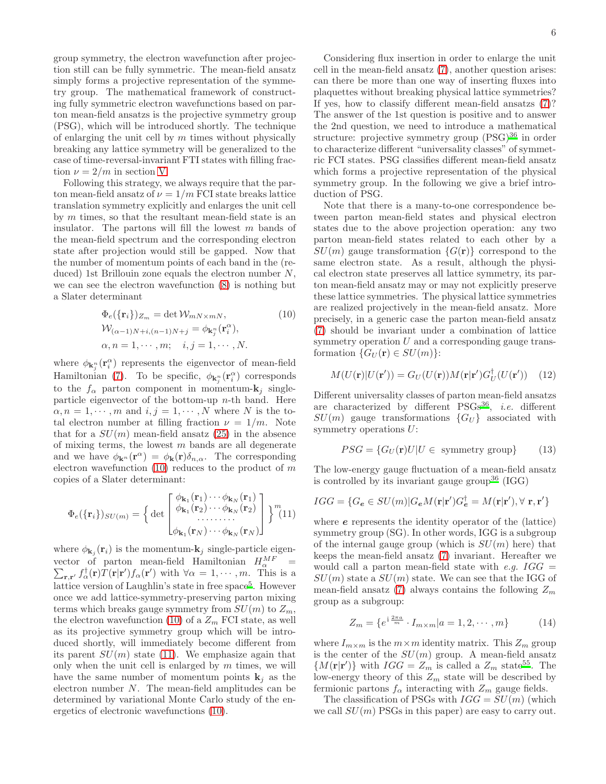group symmetry, the electron wavefunction after projection still can be fully symmetric. The mean-field ansatz simply forms a projective representation of the symmetry group. The mathematical framework of constructing fully symmetric electron wavefunctions based on parton mean-field ansatzs is the projective symmetry group (PSG), which will be introduced shortly. The technique of enlarging the unit cell by  $m$  times without physically breaking any lattice symmetry will be generalized to the case of time-reversal-invariant FTI states with filling fraction  $\nu = 2/m$  in section [V.](#page-11-0)

Following this strategy, we always require that the parton mean-field ansatz of  $\nu = 1/m$  FCI state breaks lattice translation symmetry explicitly and enlarges the unit cell by  $m$  times, so that the resultant mean-field state is an insulator. The partons will fill the lowest  $m$  bands of the mean-field spectrum and the corresponding electron state after projection would still be gapped. Now that the number of momentum points of each band in the (reduced) 1st Brillouin zone equals the electron number  $N$ , we can see the electron wavefunction [\(8\)](#page-4-2) is nothing but a Slater determinant

$$
\Phi_e({\mathbf{r}_i})_{Z_m} = \det \mathcal{W}_{mN \times mN},
$$
\n
$$
\mathcal{W}_{(\alpha-1)N+i,(n-1)N+j} = \phi_{\mathbf{k}_j^n}(\mathbf{r}_i^{\alpha}),
$$
\n
$$
\alpha, n = 1, \cdots, m; \quad i, j = 1, \cdots, N.
$$
\n(10)

where  $\phi_{\mathbf{k}_{j}^{n}}(\mathbf{r}_{i}^{\alpha})$  represents the eigenvector of mean-field Hamiltonian [\(7\)](#page-4-0). To be specific,  $\phi_{\mathbf{k}_j^n}(\mathbf{r}_i^{\alpha})$  corresponds to the  $f_{\alpha}$  parton component in momentum- $\mathbf{k}_i$  singleparticle eigenvector of the bottom-up  $n$ -th band. Here  $\alpha, n = 1, \cdots, m$  and  $i, j = 1, \cdots, N$  where N is the total electron number at filling fraction  $\nu = 1/m$ . Note that for a  $SU(m)$  mean-field ansatz [\(25\)](#page-9-1) in the absence of mixing terms, the lowest  $m$  bands are all degenerate and we have  $\phi_{\mathbf{k}^n}(\mathbf{r}^{\alpha}) = \phi_{\mathbf{k}}(\mathbf{r})\delta_{n,\alpha}$ . The corresponding electron wavefunction  $(10)$  reduces to the product of m copies of a Slater determinant:

<span id="page-5-1"></span>
$$
\Phi_e(\{\mathbf{r}_i\})_{SU(m)} = \left\{ \det \begin{bmatrix} \phi_{\mathbf{k}_1}(\mathbf{r}_1) \cdots \phi_{\mathbf{k}_N}(\mathbf{r}_1) \\ \phi_{\mathbf{k}_1}(\mathbf{r}_2) \cdots \phi_{\mathbf{k}_N}(\mathbf{r}_2) \\ \vdots \\ \phi_{\mathbf{k}_1}(\mathbf{r}_N) \cdots \phi_{\mathbf{k}_N}(\mathbf{r}_N) \end{bmatrix} \right\}^m (11)
$$

where  $\phi_{\mathbf{k}_j}(\mathbf{r}_i)$  is the momentum- $\mathbf{k}_j$  single-particle eigenvector of parton mean-field Hamiltonian  $H_{\alpha}^{MF}$ vector of parton mean-field Hamiltonian  $H_{\alpha}^{MF} = \sum_{\mathbf{r}, \mathbf{r}'} f_{\alpha}^{\dagger}(\mathbf{r}) T(\mathbf{r}|\mathbf{r}') f_{\alpha}(\mathbf{r}')$  with  $\forall \alpha = 1, \cdots, m$ . This is a lattice version of Laughlin's state in free space<sup>[5](#page-22-4)</sup>. However once we add lattice-symmetry-preserving parton mixing terms which breaks gauge symmetry from  $SU(m)$  to  $Z_m$ , the electron wavefunction [\(10\)](#page-5-0) of a  $Z_m$  FCI state, as well as its projective symmetry group which will be introduced shortly, will immediately become different from its parent  $SU(m)$  state [\(11\)](#page-5-1). We emphasize again that only when the unit cell is enlarged by  $m$  times, we will have the same number of momentum points  $\mathbf{k}_i$  as the electron number  $N$ . The mean-field amplitudes can be determined by variational Monte Carlo study of the energetics of electronic wavefunctions [\(10\)](#page-5-0).

Considering flux insertion in order to enlarge the unit cell in the mean-field ansatz [\(7\)](#page-4-0), another question arises: can there be more than one way of inserting fluxes into plaquettes without breaking physical lattice symmetries? If yes, how to classify different mean-field ansatzs [\(7\)](#page-4-0)? The answer of the 1st question is positive and to answer the 2nd question, we need to introduce a mathematical structure: projective symmetry group  $(PSG)^{36}$  $(PSG)^{36}$  $(PSG)^{36}$  in order to characterize different "universality classes" of symmetric FCI states. PSG classifies different mean-field ansatz which forms a projective representation of the physical symmetry group. In the following we give a brief introduction of PSG.

Note that there is a many-to-one correspondence between parton mean-field states and physical electron states due to the above projection operation: any two parton mean-field states related to each other by a  $SU(m)$  gauge transformation  $\{G(\mathbf{r})\}$  correspond to the same electron state. As a result, although the physical electron state preserves all lattice symmetry, its parton mean-field ansatz may or may not explicitly preserve these lattice symmetries. The physical lattice symmetries are realized projectively in the mean-field ansatz. More precisely, in a generic case the parton mean-field ansatz [\(7\)](#page-4-0) should be invariant under a combination of lattice symmetry operation  $U$  and a corresponding gauge transformation  $\{G_U(\mathbf{r})\in SU(m)\}$ :

<span id="page-5-3"></span><span id="page-5-0"></span>
$$
M(U(\mathbf{r})|U(\mathbf{r}')) = G_U(U(\mathbf{r}))M(\mathbf{r}|\mathbf{r}')G_U^{\dagger}(U(\mathbf{r}')) \quad (12)
$$

Different universality classes of parton mean-field ansatzs are characterized by different  $PSGs^{36}$  $PSGs^{36}$  $PSGs^{36}$ , *i.e.* different  $SU(m)$  gauge transformations  ${G_U}$  associated with symmetry operations U:

$$
PSG = \{G_U(\mathbf{r}) \mid U \in \text{ symmetry group}\} \tag{13}
$$

The low-energy gauge fluctuation of a mean-field ansatz is controlled by its invariant gauge group<sup>[36](#page-22-27)</sup> (IGG)

$$
IGG = \{ G_{\mathbf{e}} \in SU(m) | G_{\mathbf{e}}M(\mathbf{r}|\mathbf{r}')G_{\mathbf{e}}^{\dagger} = M(\mathbf{r}|\mathbf{r}'), \forall \mathbf{r}, \mathbf{r}' \}
$$

where e represents the identity operator of the (lattice) symmetry group (SG). In other words, IGG is a subgroup of the internal gauge group (which is  $SU(m)$  here) that keeps the mean-field ansatz [\(7\)](#page-4-0) invariant. Hereafter we would call a parton mean-field state with e.g.  $IGG =$  $SU(m)$  state a  $SU(m)$  state. We can see that the IGG of mean-field ansatz [\(7\)](#page-4-0) always contains the following  $Z_m$ group as a subgroup:

<span id="page-5-2"></span>
$$
Z_m = \{e^{i\frac{2\pi a}{m}} \cdot I_{m \times m} | a = 1, 2, \cdots, m\}
$$
 (14)

where  $I_{m \times m}$  is the  $m \times m$  identity matrix. This  $Z_m$  group is the center of the  $SU(m)$  group. A mean-field ansatz  ${M(\mathbf{r}|\mathbf{r}')}$  with  $IGG = Z_m$  is called a  $Z_m$  state<sup>[55](#page-22-41)</sup>. The low-energy theory of this  $Z_m$  state will be described by fermionic partons  $f_{\alpha}$  interacting with  $Z_m$  gauge fields.

The classification of PSGs with  $IGG = SU(m)$  (which we call  $SU(m)$  PSGs in this paper) are easy to carry out.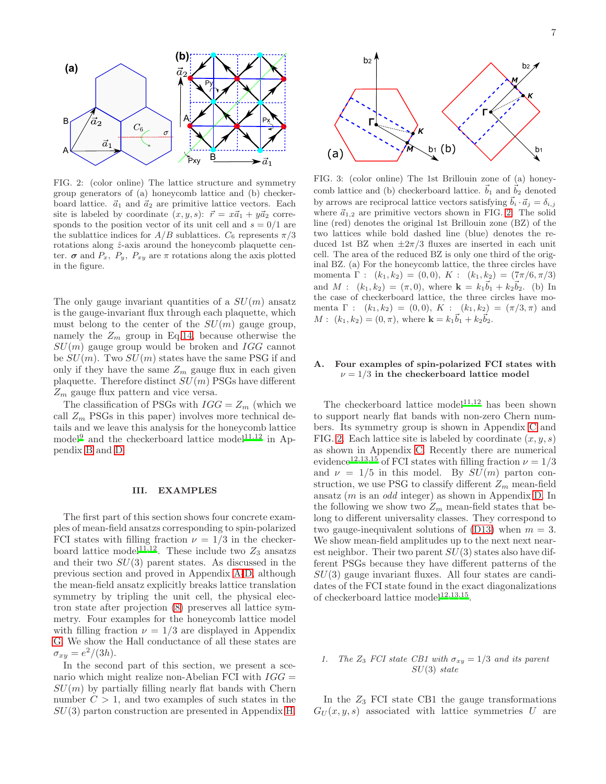

<span id="page-6-1"></span>FIG. 2: (color online) The lattice structure and symmetry group generators of (a) honeycomb lattice and (b) checkerboard lattice.  $\vec{a}_1$  and  $\vec{a}_2$  are primitive lattice vectors. Each site is labeled by coordinate  $(x, y, s)$ :  $\vec{r} = x\vec{a}_1 + y\vec{a}_2$  corresponds to the position vector of its unit cell and  $s = 0/1$  are the sublattice indices for  $A/B$  sublattices.  $C_6$  represents  $\pi/3$ rotations along  $\hat{z}$ -axis around the honeycomb plaquette center.  $\sigma$  and  $P_x$ ,  $P_y$ ,  $P_{xy}$  are  $\pi$  rotations along the axis plotted in the figure.

The only gauge invariant quantities of a  $SU(m)$  ansatz is the gauge-invariant flux through each plaquette, which must belong to the center of the  $SU(m)$  gauge group, namely the  $Z_m$  group in Eq[.14,](#page-5-2) because otherwise the  $SU(m)$  gauge group would be broken and IGG cannot be  $SU(m)$ . Two  $SU(m)$  states have the same PSG if and only if they have the same  $Z_m$  gauge flux in each given plaquette. Therefore distinct  $SU(m)$  PSGs have different  $Z_m$  gauge flux pattern and vice versa.

The classification of PSGs with  $IGG = Z_m$  (which we call  $Z_m$  PSGs in this paper) involves more technical details and we leave this analysis for the honeycomb lattice model<sup>[9](#page-22-8)</sup> and the checkerboard lattice model<sup>[11](#page-22-30)[,12](#page-22-11)</sup> in Appendix [B](#page-15-0) and [D.](#page-16-0)

#### <span id="page-6-0"></span>III. EXAMPLES

The first part of this section shows four concrete examples of mean-field ansatzs corresponding to spin-polarized FCI states with filling fraction  $\nu = 1/3$  in the checker-board lattice model<sup>[11](#page-22-30)[,12](#page-22-11)</sup>. These include two  $Z_3$  ansatzs and their two  $SU(3)$  parent states. As discussed in the previous section and proved in Appendix [A-](#page-14-0)[D,](#page-16-0) although the mean-field ansatz explicitly breaks lattice translation symmetry by tripling the unit cell, the physical electron state after projection [\(8\)](#page-4-2) preserves all lattice symmetry. Four examples for the honeycomb lattice model with filling fraction  $\nu = 1/3$  are displayed in Appendix [G.](#page-19-0) We show the Hall conductance of all these states are  $\sigma_{xy} = e^2/(3h).$ 

In the second part of this section, we present a scenario which might realize non-Abelian FCI with  $IGG =$  $SU(m)$  by partially filling nearly flat bands with Chern number  $C > 1$ , and two examples of such states in the  $SU(3)$  parton construction are presented in Appendix [H.](#page-21-0)



<span id="page-6-2"></span>FIG. 3: (color online) The 1st Brillouin zone of (a) honeycomb lattice and (b) checkerboard lattice.  $\vec{b}_1$  and  $\vec{b}_2$  denoted by arrows are reciprocal lattice vectors satisfying  $\vec{b}_i \cdot \vec{a}_j = \delta_{i,j}$ where  $\vec{a}_{1,2}$  are primitive vectors shown in FIG. [2.](#page-6-1) The solid line (red) denotes the original 1st Brillouin zone (BZ) of the two lattices while bold dashed line (blue) denotes the reduced 1st BZ when  $\pm 2\pi/3$  fluxes are inserted in each unit cell. The area of the reduced BZ is only one third of the original BZ. (a) For the honeycomb lattice, the three circles have momenta Γ :  $(k_1, k_2) = (0, 0), K$  :  $(k_1, k_2) = (7\pi/6, \pi/3)$ and  $M: (k_1, k_2) = (\pi, 0)$ , where  $\mathbf{k} = k_1 \vec{b}_1 + k_2 \vec{b}_2$ . (b) In the case of checkerboard lattice, the three circles have momenta  $\Gamma$  :  $(k_1, k_2) = (0, 0), K$  :  $(k_1, k_2) = (\pi/3, \pi)$  and  $M: (k_1, k_2) = (0, \pi)$ , where  $\mathbf{k} = k_1 \vec{b}_1 + k_2 \vec{b}_2$ .

# A. Four examples of spin-polarized FCI states with  $\nu = 1/3$  in the checkerboard lattice model

The checkerboard lattice model<sup>[11](#page-22-30)[,12](#page-22-11)</sup> has been shown to support nearly flat bands with non-zero Chern numbers. Its symmetry group is shown in Appendix [C](#page-16-1) and FIG. [2.](#page-6-1) Each lattice site is labeled by coordinate  $(x, y, s)$ as shown in Appendix [C.](#page-16-1) Recently there are numerical evidence<sup>[12](#page-22-11)[,13](#page-22-31)[,15](#page-22-32)</sup> of FCI states with filling fraction  $\nu = 1/3$ and  $\nu = 1/5$  in this model. By  $SU(m)$  parton construction, we use PSG to classify different  $Z_m$  mean-field ansatz (m is an odd integer) as shown in Appendix [D.](#page-16-0) In the following we show two  $Z_m$  mean-field states that belong to different universality classes. They correspond to two gauge-inequivalent solutions of  $(D13)$  when  $m = 3$ . We show mean-field amplitudes up to the next next nearest neighbor. Their two parent  $SU(3)$  states also have different PSGs because they have different patterns of the  $SU(3)$  gauge invariant fluxes. All four states are candidates of the FCI state found in the exact diagonalizations of checkerboard lattice model<sup>[12](#page-22-11)[,13](#page-22-31)[,15](#page-22-32)</sup>.

#### 1. The  $Z_3$  FCI state CB1 with  $\sigma_{xy} = 1/3$  and its parent  $SU(3)$  state

In the  $Z_3$  FCI state CB1 the gauge transformations  $G_U(x, y, s)$  associated with lattice symmetries U are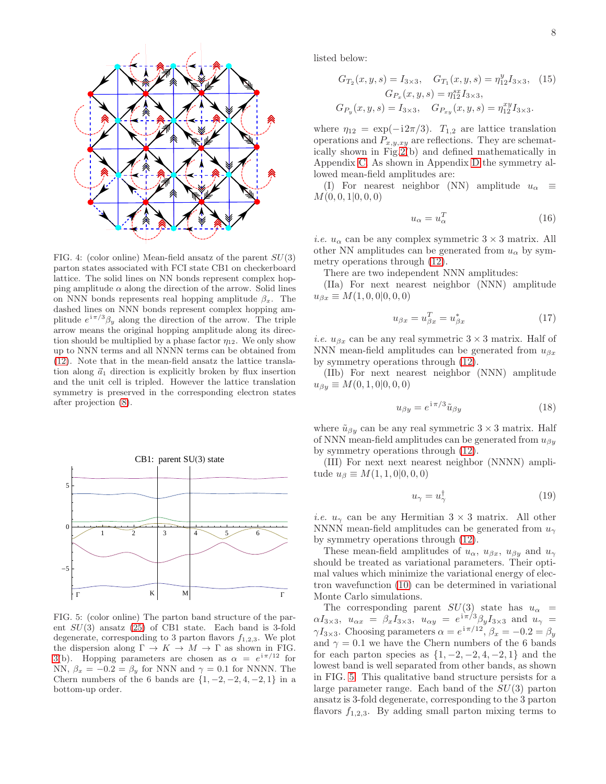

FIG. 4: (color online) Mean-field ansatz of the parent  $SU(3)$ parton states associated with FCI state CB1 on checkerboard lattice. The solid lines on NN bonds represent complex hopping amplitude  $\alpha$  along the direction of the arrow. Solid lines on NNN bonds represents real hopping amplitude  $\beta_x$ . The dashed lines on NNN bonds represent complex hopping amplitude  $e^{i\pi/3}\beta_y$  along the direction of the arrow. The triple arrow means the original hopping amplitude along its direction should be multiplied by a phase factor  $\eta_{12}$ . We only show up to NNN terms and all NNNN terms can be obtained from [\(12\)](#page-5-3). Note that in the mean-field ansatz the lattice translation along  $\vec{a}_1$  direction is explicitly broken by flux insertion and the unit cell is tripled. However the lattice translation symmetry is preserved in the corresponding electron states after projection [\(8\)](#page-4-2).



<span id="page-7-0"></span>FIG. 5: (color online) The parton band structure of the parent  $SU(3)$  ansatz  $(25)$  of CB1 state. Each band is 3-fold degenerate, corresponding to 3 parton flavors  $f_{1,2,3}$ . We plot the dispersion along  $\Gamma \to K \to M \to \Gamma$  as shown in FIG. [3\(](#page-6-2)b). Hopping parameters are chosen as  $\alpha = e^{i\pi/12}$  for NN,  $\beta_x = -0.2 = \beta_y$  for NNN and  $\gamma = 0.1$  for NNNN. The Chern numbers of the 6 bands are  $\{1, -2, -2, 4, -2, 1\}$  in a bottom-up order.

listed below:

$$
G_{T_2}(x, y, s) = I_{3 \times 3}, \quad G_{T_1}(x, y, s) = \eta_{12}^y I_{3 \times 3}, \quad (15)
$$

$$
G_{P_x}(x, y, s) = \eta_{12}^{sz} I_{3 \times 3},
$$

$$
G_{P_y}(x, y, s) = I_{3 \times 3}, \quad G_{P_{xy}}(x, y, s) = \eta_{12}^{xy} I_{3 \times 3}.
$$

where  $\eta_{12} = \exp(-i2\pi/3)$ .  $T_{1,2}$  are lattice translation operations and  $P_{x,y,xy}$  are reflections. They are schematically shown in Fig[.2\(](#page-6-1)b) and defined mathematically in Appendix [C.](#page-16-1) As shown in Appendix [D](#page-16-0) the symmetry allowed mean-field amplitudes are:

(I) For nearest neighbor (NN) amplitude  $u_{\alpha} \equiv$  $M(0, 0, 1|0, 0, 0)$ 

$$
u_{\alpha} = u_{\alpha}^T \tag{16}
$$

*i.e.*  $u_{\alpha}$  can be any complex symmetric  $3 \times 3$  matrix. All other NN amplitudes can be generated from  $u_{\alpha}$  by symmetry operations through [\(12\)](#page-5-3).

There are two independent NNN amplitudes:

(IIa) For next nearest neighbor (NNN) amplitude  $u_{\beta x} \equiv M(1, 0, 0|0, 0, 0)$ 

$$
u_{\beta x} = u_{\beta x}^T = u_{\beta x}^* \tag{17}
$$

*i.e.*  $u_{\beta x}$  can be any real symmetric  $3 \times 3$  matrix. Half of NNN mean-field amplitudes can be generated from  $u_{\beta x}$ by symmetry operations through [\(12\)](#page-5-3).

(IIb) For next nearest neighbor (NNN) amplitude  $u_{\beta y} \equiv M(0, 1, 0|0, 0, 0)$ 

$$
u_{\beta y} = e^{i\pi/3}\tilde{u}_{\beta y} \tag{18}
$$

where  $\tilde{u}_{\beta y}$  can be any real symmetric  $3 \times 3$  matrix. Half of NNN mean-field amplitudes can be generated from  $u_{\beta y}$ by symmetry operations through [\(12\)](#page-5-3).

(III) For next next nearest neighbor (NNNN) amplitude  $u_{\beta} \equiv M(1, 1, 0|0, 0, 0)$ 

$$
u_{\gamma} = u_{\gamma}^{\dagger} \tag{19}
$$

*i.e.*  $u_{\gamma}$  can be any Hermitian  $3 \times 3$  matrix. All other NNNN mean-field amplitudes can be generated from  $u_{\gamma}$ by symmetry operations through [\(12\)](#page-5-3).

These mean-field amplitudes of  $u_{\alpha}$ ,  $u_{\beta x}$ ,  $u_{\beta y}$  and  $u_{\gamma}$ should be treated as variational parameters. Their optimal values which minimize the variational energy of electron wavefunction [\(10\)](#page-5-0) can be determined in variational Monte Carlo simulations.

The corresponding parent  $SU(3)$  state has  $u_{\alpha}$  =  $\alpha I_{3\times 3}$ ,  $u_{\alpha x} = \beta_x I_{3\times 3}$ ,  $u_{\alpha y} = e^{i\pi/3} \beta_y I_{3\times 3}$  and  $u_{\gamma} =$  $\gamma I_{3\times 3}$ . Choosing parameters  $\alpha = e^{i\pi/12}$ ,  $\beta_x = -0.2 = \beta_y$ and  $\gamma = 0.1$  we have the Chern numbers of the 6 bands for each parton species as  $\{1, -2, -2, 4, -2, 1\}$  and the lowest band is well separated from other bands, as shown in FIG. [5.](#page-7-0) This qualitative band structure persists for a large parameter range. Each band of the  $SU(3)$  parton ansatz is 3-fold degenerate, corresponding to the 3 parton flavors  $f_{1,2,3}$ . By adding small parton mixing terms to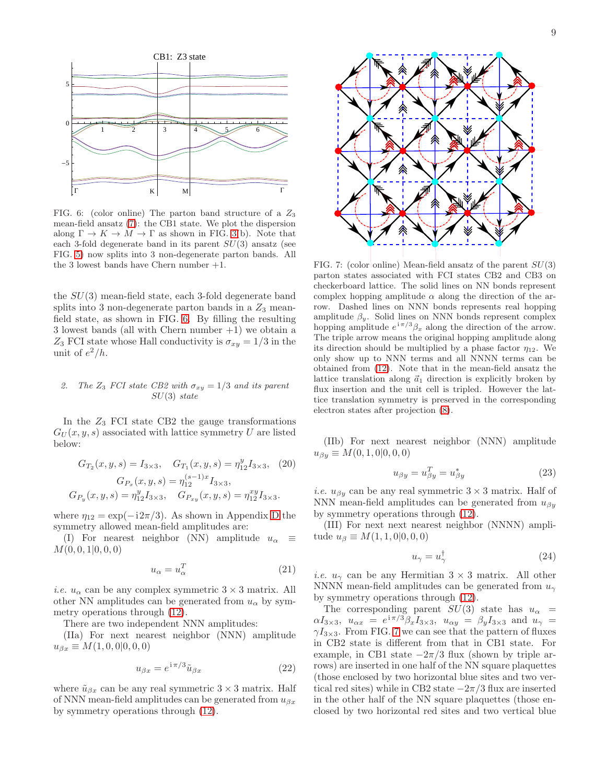

<span id="page-8-0"></span>FIG. 6: (color online) The parton band structure of a  $Z_3$ mean-field ansatz [\(7\)](#page-4-0): the CB1 state. We plot the dispersion along  $\Gamma \to K \to M \to \Gamma$  as shown in FIG. [3\(](#page-6-2)b). Note that each 3-fold degenerate band in its parent  $SU(3)$  ansatz (see FIG. [5\)](#page-7-0) now splits into 3 non-degenerate parton bands. All the 3 lowest bands have Chern number +1.

the  $SU(3)$  mean-field state, each 3-fold degenerate band splits into 3 non-degenerate parton bands in a  $Z_3$  meanfield state, as shown in FIG. [6.](#page-8-0) By filling the resulting 3 lowest bands (all with Chern number  $+1$ ) we obtain a  $Z_3$  FCI state whose Hall conductivity is  $\sigma_{xy} = 1/3$  in the unit of  $e^2/h$ .

# 2. The  $Z_3$  FCI state CB2 with  $\sigma_{xy} = 1/3$  and its parent  $SU(3)$  state

In the  $Z_3$  FCI state CB2 the gauge transformations  $G_U(x, y, s)$  associated with lattice symmetry U are listed below:

$$
G_{T_2}(x, y, s) = I_{3 \times 3}, \quad G_{T_1}(x, y, s) = \eta_{12}^y I_{3 \times 3}, \quad (20)
$$

$$
G_{P_x}(x, y, s) = \eta_{12}^{(s-1)x} I_{3 \times 3},
$$

$$
G_{P_y}(x, y, s) = \eta_{12}^y I_{3 \times 3}, \quad G_{P_{xy}}(x, y, s) = \eta_{12}^{xy} I_{3 \times 3}.
$$

where  $\eta_{12} = \exp(-i2\pi/3)$ . As shown in Appendix [D](#page-16-0) the symmetry allowed mean-field amplitudes are:

(I) For nearest neighbor (NN) amplitude  $u_{\alpha} \equiv$  $M(0, 0, 1|0, 0, 0)$ 

$$
u_{\alpha} = u_{\alpha}^T \tag{21}
$$

*i.e.*  $u_{\alpha}$  can be any complex symmetric  $3 \times 3$  matrix. All other NN amplitudes can be generated from  $u_{\alpha}$  by symmetry operations through [\(12\)](#page-5-3).

There are two independent NNN amplitudes:

(IIa) For next nearest neighbor (NNN) amplitude  $u_{\beta x} \equiv M(1, 0, 0|0, 0, 0)$ 

$$
u_{\beta x} = e^{\mathrm{i}\pi/3} \tilde{u}_{\beta x} \tag{22}
$$

where  $\tilde{u}_{\beta x}$  can be any real symmetric  $3 \times 3$  matrix. Half of NNN mean-field amplitudes can be generated from  $u_{\beta x}$ by symmetry operations through [\(12\)](#page-5-3).



<span id="page-8-1"></span>FIG. 7: (color online) Mean-field ansatz of the parent  $SU(3)$ parton states associated with FCI states CB2 and CB3 on checkerboard lattice. The solid lines on NN bonds represent complex hopping amplitude  $\alpha$  along the direction of the arrow. Dashed lines on NNN bonds represents real hopping amplitude  $\beta_y$ . Solid lines on NNN bonds represent complex hopping amplitude  $e^{i\pi/3}\beta_x$  along the direction of the arrow. The triple arrow means the original hopping amplitude along its direction should be multiplied by a phase factor  $\eta_{12}$ . We only show up to NNN terms and all NNNN terms can be obtained from [\(12\)](#page-5-3). Note that in the mean-field ansatz the lattice translation along  $\vec{a}_1$  direction is explicitly broken by flux insertion and the unit cell is tripled. However the lattice translation symmetry is preserved in the corresponding electron states after projection [\(8\)](#page-4-2).

(IIb) For next nearest neighbor (NNN) amplitude  $u_{\beta y} \equiv M(0, 1, 0|0, 0, 0)$ 

$$
u_{\beta y} = u_{\beta y}^T = u_{\beta y}^* \tag{23}
$$

*i.e.*  $u_{\beta y}$  can be any real symmetric  $3 \times 3$  matrix. Half of NNN mean-field amplitudes can be generated from  $u_{\beta y}$ by symmetry operations through [\(12\)](#page-5-3).

(III) For next next nearest neighbor (NNNN) amplitude  $u_{\beta} \equiv M(1, 1, 0|0, 0, 0)$ 

$$
u_{\gamma} = u_{\gamma}^{\dagger} \tag{24}
$$

*i.e.*  $u_{\gamma}$  can be any Hermitian  $3 \times 3$  matrix. All other NNNN mean-field amplitudes can be generated from  $u_{\gamma}$ by symmetry operations through [\(12\)](#page-5-3).

The corresponding parent  $SU(3)$  state has  $u_{\alpha}$  =  $\alpha I_{3\times 3}$ ,  $u_{\alpha x} = e^{i\pi/3} \beta_x I_{3\times 3}$ ,  $u_{\alpha y} = \beta_y I_{3\times 3}$  and  $u_{\gamma} =$  $\gamma I_{3\times 3}$ . From FIG. [7](#page-8-1) we can see that the pattern of fluxes in CB2 state is different from that in CB1 state. For example, in CB1 state  $-2\pi/3$  flux (shown by triple arrows) are inserted in one half of the NN square plaquettes (those enclosed by two horizontal blue sites and two vertical red sites) while in CB2 state  $-2\pi/3$  flux are inserted in the other half of the NN square plaquettes (those enclosed by two horizontal red sites and two vertical blue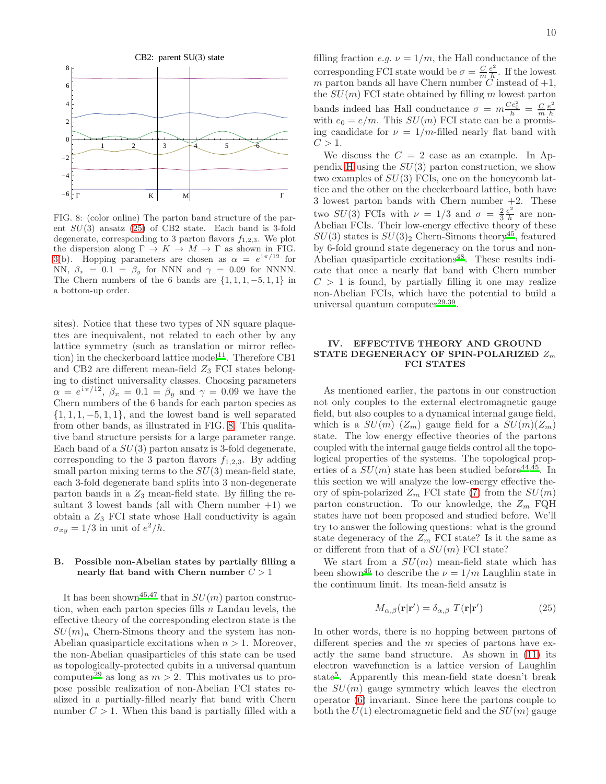

<span id="page-9-2"></span>FIG. 8: (color online) The parton band structure of the parent SU(3) ansatz [\(25\)](#page-9-1) of CB2 state. Each band is 3-fold degenerate, corresponding to 3 parton flavors  $f_{1,2,3}$ . We plot the dispersion along  $\Gamma \to K \to M \to \Gamma$  as shown in FIG. [3\(](#page-6-2)b). Hopping parameters are chosen as  $\alpha = e^{i\pi/12}$  for NN,  $\beta_x = 0.1 = \beta_y$  for NNN and  $\gamma = 0.09$  for NNNN. The Chern numbers of the 6 bands are  $\{1, 1, 1, -5, 1, 1\}$  in a bottom-up order.

sites). Notice that these two types of NN square plaquettes are inequivalent, not related to each other by any lattice symmetry (such as translation or mirror reflec-tion) in the checkerboard lattice model<sup>[11](#page-22-30)</sup>. Therefore CB1 and CB2 are different mean-field  $Z_3$  FCI states belonging to distinct universality classes. Choosing parameters  $\alpha = e^{i\pi/12}, \beta_x = 0.1 = \beta_y$  and  $\gamma = 0.09$  we have the Chern numbers of the 6 bands for each parton species as  $\{1, 1, 1, -5, 1, 1\}$ , and the lowest band is well separated from other bands, as illustrated in FIG. [8.](#page-9-2) This qualitative band structure persists for a large parameter range. Each band of a  $SU(3)$  parton ansatz is 3-fold degenerate, corresponding to the 3 parton flavors  $f_{1,2,3}$ . By adding small parton mixing terms to the  $SU(3)$  mean-field state, each 3-fold degenerate band splits into 3 non-degenerate parton bands in a  $Z_3$  mean-field state. By filling the resultant 3 lowest bands (all with Chern number  $+1$ ) we obtain a  $Z_3$  FCI state whose Hall conductivity is again  $\sigma_{xy} = 1/3$  in unit of  $e^2/h$ .

# B. Possible non-Abelian states by partially filling a nearly flat band with Chern number  $C > 1$

It has been shown<sup>[45](#page-22-38)[,47](#page-22-42)</sup> that in  $SU(m)$  parton construction, when each parton species fills  $n$  Landau levels, the effective theory of the corresponding electron state is the  $SU(m)_n$  Chern-Simons theory and the system has non-Abelian quasiparticle excitations when  $n > 1$ . Moreover, the non-Abelian quasiparticles of this state can be used as topologically-protected qubits in a universal quantum computer<sup>[29](#page-22-20)</sup> as long as  $m > 2$ . This motivates us to propose possible realization of non-Abelian FCI states realized in a partially-filled nearly flat band with Chern number  $C > 1$ . When this band is partially filled with a

filling fraction *e.g.*  $\nu = 1/m$ , the Hall conductance of the corresponding FCI state would be  $\sigma = \frac{C}{m} \frac{e^2}{h}$  $\frac{e^2}{h}$ . If the lowest m parton bands all have Chern number C instead of  $+1$ , the  $SU(m)$  FCI state obtained by filling m lowest parton bands indeed has Hall conductance  $\sigma = m \frac{Ce_0^2}{h} = \frac{C}{m} \frac{e^2}{h}$ bands mated has frain conductance  $0 - m h - m h$ <br>with  $e_0 = e/m$ . This  $SU(m)$  FCI state can be a promising candidate for  $\nu = 1/m$ -filled nearly flat band with  $C > 1$ .

We discuss the  $C = 2$  case as an example. In Ap-pendix [H](#page-21-0) using the  $SU(3)$  parton construction, we show two examples of  $SU(3)$  FCIs, one on the honeycomb lattice and the other on the checkerboard lattice, both have 3 lowest parton bands with Chern number +2. These two  $SU(3)$  FCIs with  $\nu = 1/3$  and  $\sigma = \frac{2}{3} \frac{e^2}{h}$  $\frac{e^2}{h}$  are non-Abelian FCIs. Their low-energy effective theory of these  $SU(3)$  states is  $SU(3)_2$  Chern-Simons theory<sup>[45](#page-22-38)</sup>, featured by 6-fold ground state degeneracy on the torus and non-Abelian quasiparticle excitations<sup>[48](#page-22-43)</sup>. These results indicate that once a nearly flat band with Chern number  $C > 1$  is found, by partially filling it one may realize non-Abelian FCIs, which have the potential to build a universal quantum computer<sup>[29](#page-22-20)[,39](#page-22-33)</sup>.

# <span id="page-9-0"></span>IV. EFFECTIVE THEORY AND GROUND STATE DEGENERACY OF SPIN-POLARIZED  $Z_m$ FCI STATES

As mentioned earlier, the partons in our construction not only couples to the external electromagnetic gauge field, but also couples to a dynamical internal gauge field, which is a  $SU(m)$   $(Z_m)$  gauge field for a  $SU(m)(Z_m)$ state. The low energy effective theories of the partons coupled with the internal gauge fields control all the topological properties of the systems. The topological properties of a  $SU(m)$  state has been studied before<sup>[44](#page-22-37)[,45](#page-22-38)</sup>. In this section we will analyze the low-energy effective theory of spin-polarized  $Z_m$  FCI state [\(7\)](#page-4-0) from the  $SU(m)$ parton construction. To our knowledge, the  $Z_m$  FQH states have not been proposed and studied before. We'll try to answer the following questions: what is the ground state degeneracy of the  $Z_m$  FCI state? Is it the same as or different from that of a  $SU(m)$  FCI state?

We start from a  $SU(m)$  mean-field state which has been shown<sup>[45](#page-22-38)</sup> to describe the  $\nu = 1/m$  Laughlin state in the continuum limit. Its mean-field ansatz is

<span id="page-9-1"></span>
$$
M_{\alpha,\beta}(\mathbf{r}|\mathbf{r}') = \delta_{\alpha,\beta} T(\mathbf{r}|\mathbf{r}')
$$
 (25)

In other words, there is no hopping between partons of different species and the m species of partons have exactly the same band structure. As shown in [\(11\)](#page-5-1) its electron wavefunction is a lattice version of Laughlin stat[e](#page-22-4)<sup>5</sup>. Apparently this mean-field state doesn't break the  $SU(m)$  gauge symmetry which leaves the electron operator [\(6\)](#page-4-1) invariant. Since here the partons couple to both the  $U(1)$  electromagnetic field and the  $SU(m)$  gauge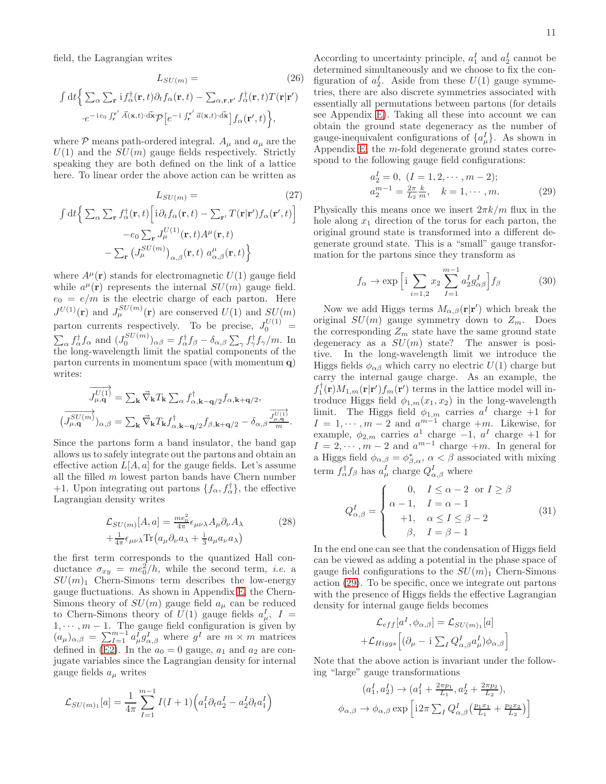field, the Lagrangian writes

$$
L_{SU(m)} = (26)
$$

$$
\int dt \Big\{ \sum_{\alpha} \sum_{\mathbf{r}} i f_{\alpha}^{\dagger}(\mathbf{r}, t) \partial_{t} f_{\alpha}(\mathbf{r}, t) - \sum_{\alpha, \mathbf{r}, \mathbf{r}'} f_{\alpha}^{\dagger}(\mathbf{r}, t) T(\mathbf{r}|\mathbf{r}')
$$

$$
\cdot e^{-ie_{0} \int_{\mathbf{r}}^{\mathbf{r}'} \vec{A}(\mathbf{x}, t) \cdot d\mathbf{x}} \mathcal{P} \Big[ e^{-i \int_{\mathbf{r}}^{\mathbf{r}'} \vec{a}(\mathbf{x}, t) \cdot d\mathbf{x}} \Big] f_{\alpha}(\mathbf{r}', t) \Big\},
$$
(26)

where  $P$  means path-ordered integral.  $A_{\mu}$  and  $a_{\mu}$  are the  $U(1)$  and the  $SU(m)$  gauge fields respectively. Strictly speaking they are both defined on the link of a lattice here. To linear order the above action can be written as

$$
L_{SU(m)} = \t(27)
$$

$$
\int dt \Big\{ \sum_{\alpha} \sum_{\mathbf{r}} f_{\alpha}^{\dagger}(\mathbf{r}, t) \Big[ i \partial_{t} f_{\alpha}(\mathbf{r}, t) - \sum_{\mathbf{r}'} T(\mathbf{r}|\mathbf{r}') f_{\alpha}(\mathbf{r}', t) \Big] - e_{0} \sum_{\mathbf{r}} J_{\mu}^{U(1)}(\mathbf{r}, t) A^{\mu}(\mathbf{r}, t) - \sum_{\mathbf{r}} \left( J_{\mu}^{SU(m)} \right)_{\alpha, \beta}(\mathbf{r}, t) d_{\alpha, \beta}^{\mu}(\mathbf{r}, t) \Big\}
$$

where  $A^{\mu}(\mathbf{r})$  stands for electromagnetic  $U(1)$  gauge field while  $a^{\mu}(\mathbf{r})$  represents the internal  $SU(m)$  gauge field.  $e_0 = e/m$  is the electric charge of each parton. Here  $J^{U(1)}(\mathbf{r})$  and  $J^{SU(m)}_{\mu}(\mathbf{r})$  are conserved  $U(1)$  and  $SU(m)$ parton currents respectively. To be precise,  $J_0^{U(1)}$  =  $\sum_{\alpha} f_{\alpha}^{\dagger} f_{\alpha}$  and  $(J_0^{SU(m)})_{\alpha\beta} = f_{\alpha}^{\dagger} f_{\beta} - \delta_{\alpha,\beta} \sum_{\gamma} f_{\gamma}^{\dagger} f_{\gamma}/m$ . In the long-wavelength limit the spatial components of the parton currents in momentum space (with momentum q) writes:

$$
\overrightarrow{J_{\mu,\mathbf{q}}^{U(1)}} = \sum_{\mathbf{k}} \vec{\nabla}_{\mathbf{k}} T_{\mathbf{k}} \sum_{\alpha} f_{\alpha,\mathbf{k}-\mathbf{q}/2}^{\dagger} f_{\alpha,\mathbf{k}+\mathbf{q}/2},
$$
\n
$$
\overrightarrow{J_{\mu,\mathbf{q}}^{SU(m)}}_{\alpha,\beta} = \sum_{\mathbf{k}} \vec{\nabla}_{\mathbf{k}} T_{\mathbf{k}} f_{\alpha,\mathbf{k}-\mathbf{q}/2}^{\dagger} f_{\beta,\mathbf{k}+\mathbf{q}/2} - \delta_{\alpha,\beta} \overrightarrow{\frac{J_{\mu,\mathbf{q}}^{U(1)}}{m}}.
$$

Since the partons form a band insulator, the band gap allows us to safely integrate out the partons and obtain an effective action  $L[A, a]$  for the gauge fields. Let's assume all the filled  $m$  lowest parton bands have Chern number +1. Upon integrating out partons  $\{f_{\alpha}, f_{\alpha}^{\dagger}\}\,$ , the effective Lagrangian density writes

$$
\mathcal{L}_{SU(m)}[A,a] = \frac{me_0^2}{4\pi} \epsilon_{\mu\nu\lambda} A_\mu \partial_\nu A_\lambda \qquad (28)
$$

$$
+ \frac{1}{4\pi} \epsilon_{\mu\nu\lambda} \text{Tr} \left( a_\mu \partial_\nu a_\lambda + \frac{\mathrm{i}}{3} a_\mu a_\nu a_\lambda \right)
$$

the first term corresponds to the quantized Hall conductance  $\sigma_{xy} = me_0^2/h$ , while the second term, *i.e.* a  $SU(m)_1$  Chern-Simons term describes the low-energy gauge fluctuations. As shown in Appendix [E,](#page-17-1) the Chern-Simons theory of  $SU(m)$  gauge field  $a_{\mu}$  can be reduced to Chern-Simons theory of  $U(1)$  gauge fields  $a_{\mu}^{I}$ ,  $I =$  $1, \dots, m-1$ . The gauge field configuration is given by  $(a_{\mu})_{\alpha,\beta} = \sum_{I=1}^{m-1} a_{\mu}^I g_{\alpha,\beta}^I$  where  $g^I$  are  $m \times m$  matrices defined in [\(E2\)](#page-17-2). In the  $a_0 = 0$  gauge,  $a_1$  and  $a_2$  are conjugate variables since the Lagrangian density for internal gauge fields  $a_{\mu}$  writes

$$
\mathcal{L}_{SU(m)_1}[a] = \frac{1}{4\pi} \sum_{I=1}^{m-1} I(I+1) \Big( a_1^I \partial_t a_2^I - a_2^I \partial_t a_1^I \Big)
$$

According to uncertainty principle,  $a_1^I$  and  $a_2^I$  cannot be determined simultaneously and we choose to fix the configuration of  $a_2^I$ . Aside from these  $U(1)$  gauge symmetries, there are also discrete symmetries associated with essentially all permutations between partons (for details see Appendix [E\)](#page-17-1). Taking all these into account we can obtain the ground state degeneracy as the number of gauge-inequivalent configurations of  $\{a^I_\mu\}$ . As shown in Appendix [E,](#page-17-1) the m-fold degenerate ground states correspond to the following gauge field configurations:

<span id="page-10-0"></span>
$$
a_2^I = 0, (I = 1, 2, \cdots, m - 2);
$$
  
\n
$$
a_2^{m-1} = \frac{2\pi}{L_2} \frac{k}{m}, \quad k = 1, \cdots, m.
$$
\n(29)

Physically this means once we insert  $2\pi k/m$  flux in the hole along  $x_1$  direction of the torus for each parton, the original ground state is transformed into a different degenerate ground state. This is a "small" gauge transformation for the partons since they transform as

$$
f_{\alpha} \to \exp\left[i \sum_{i=1,2} x_2 \sum_{I=1}^{m-1} a_2^I g_{\alpha\beta}^I\right] f_{\beta} \tag{30}
$$

Now we add Higgs terms  $M_{\alpha,\beta}(\mathbf{r}|\mathbf{r}')$  which break the original  $SU(m)$  gauge symmetry down to  $Z_m$ . Does the corresponding  $Z_m$  state have the same ground state degeneracy as a  $SU(m)$  state? The answer is positive. In the long-wavelength limit we introduce the Higgs fields  $\phi_{\alpha\beta}$  which carry no electric  $U(1)$  charge but carry the internal gauge charge. As an example, the  $f_1^{\dagger}(\mathbf{r})M_{1,m}(\mathbf{r}|\mathbf{r}')f_m(\mathbf{r}')$  terms in the lattice model will introduce Higgs field  $\phi_{1,m}(x_1, x_2)$  in the long-wavelength limit. The Higgs field  $\phi_{1,m}$  carries  $a^I$  charge  $+1$  for  $I = 1, \dots, m-2$  and  $a^{m-1}$  charge  $+m$ . Likewise, for example,  $\phi_{2,m}$  carries  $a^1$  charge  $-1$ ,  $a^I$  charge  $+1$  for  $I = 2, \dots, m-2$  and  $a^{m-1}$  charge  $+m$ . In general for a Higgs field  $\phi_{\alpha,\beta} = \phi_{\beta,\alpha}^*$ ,  $\alpha < \beta$  associated with mixing term  $f_{\alpha}^{\dagger} f_{\beta}$  has  $a_{\mu}^{I}$  charge  $Q_{\alpha,\beta}^{I}$  where

$$
Q_{\alpha,\beta}^{I} = \begin{cases} 0, & I \leq \alpha - 2 \text{ or } I \geq \beta \\ \alpha - 1, & I = \alpha - 1 \\ +1, & \alpha \leq I \leq \beta - 2 \\ \beta, & I = \beta - 1 \end{cases} (31)
$$

In the end one can see that the condensation of Higgs field can be viewed as adding a potential in the phase space of gauge field configurations to the  $SU(m)_1$  Chern-Simons action [\(29\)](#page-10-0). To be specific, once we integrate out partons with the presence of Higgs fields the effective Lagrangian density for internal gauge fields becomes

$$
\mathcal{L}_{eff}[a^I, \phi_{\alpha,\beta}] = \mathcal{L}_{SU(m)_1}[a]
$$

$$
+ \mathcal{L}_{Higgs} \left[ (\partial_{\mu} - i \sum_I Q^I_{\alpha,\beta} a^I_{\mu}) \phi_{\alpha,\beta} \right]
$$

Note that the above action is invariant under the following "large" gauge transformations

$$
(a_1^I, a_2^I) \rightarrow (a_1^I + \frac{2\pi p_1}{L_1}, a_2^I + \frac{2\pi p_2}{L_2}),
$$
  

$$
\phi_{\alpha,\beta} \rightarrow \phi_{\alpha,\beta} \exp\left[i2\pi \sum_I Q_{\alpha,\beta}^I \left(\frac{p_1 x_1}{L_1} + \frac{p_2 x_2}{L_2}\right)\right]
$$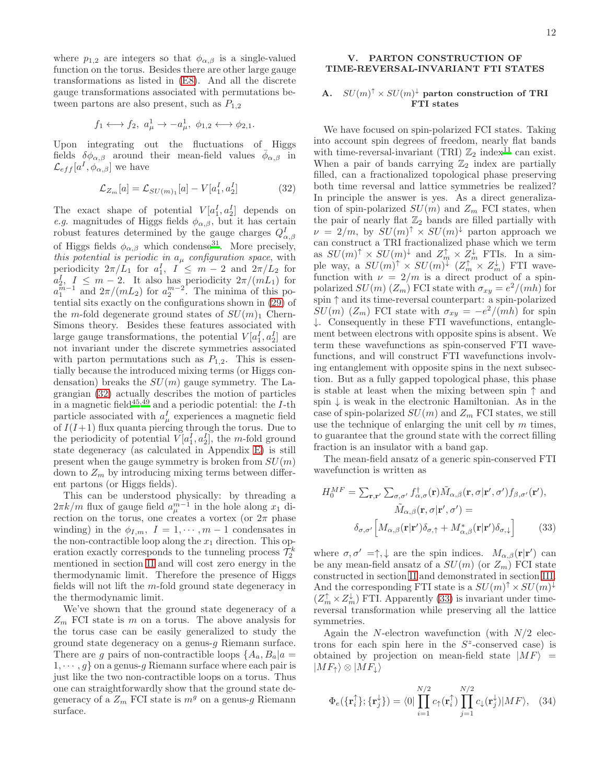where  $p_{1,2}$  are integers so that  $\phi_{\alpha,\beta}$  is a single-valued function on the torus. Besides there are other large gauge transformations as listed in [\(E8\)](#page-18-0). And all the discrete gauge transformations associated with permutations between partons are also present, such as  $P_{1,2}$ 

$$
f_1 \longleftrightarrow f_2, a^1_\mu \rightarrow -a^1_\mu, \phi_{1,2} \longleftrightarrow \phi_{2,1}.
$$

Upon integrating out the fluctuations of Higgs fields  $\delta\phi_{\alpha,\beta}$  around their mean-field values  $\bar{\phi}_{\alpha,\beta}$  in  $\mathcal{L}_{eff}[a^I, \phi_{\alpha,\beta}]$  we have

<span id="page-11-1"></span>
$$
\mathcal{L}_{Z_m}[a] = \mathcal{L}_{SU(m)_1}[a] - V[a_1^I, a_2^I]
$$
 (32)

The exact shape of potential  $V[a_1^I, a_2^I]$  depends on *e.g.* magnitudes of Higgs fields  $\phi_{\alpha,\beta}$ , but it has certain robust features determined by the gauge charges  $Q_{\alpha,\beta}^I$ of Higgs fields  $\phi_{\alpha,\beta}$  which condense<sup>[31](#page-22-22)</sup>. More precisely, this potential is periodic in  $a_{\mu}$  configuration space, with periodicity  $2\pi/L_1$  for  $a_1^I$ ,  $I \leq m-2$  and  $2\pi/L_2$  for  $a_{n-1}^I \leq m-2$ . It also has periodicity  $2\pi/(mL_1)$  for  $a_1^{\overline{m}-1}$  and  $2\pi/(mL_2)$  for  $a_2^{m-2}$ . The minima of this potential sits exactly on the configurations shown in [\(29\)](#page-10-0) of the m-fold degenerate ground states of  $SU(m)_1$  Chern-Simons theory. Besides these features associated with large gauge transformations, the potential  $V[a_1^I, a_2^I]$  are not invariant under the discrete symmetries associated with parton permutations such as  $P_{1,2}$ . This is essentially because the introduced mixing terms (or Higgs condensation) breaks the  $SU(m)$  gauge symmetry. The Lagrangian [\(32\)](#page-11-1) actually describes the motion of particles in a magnetic field<sup>[45](#page-22-38)[,49](#page-22-44)</sup> and a periodic potential: the  $I$ -th particle associated with  $a_{\mu}^{I}$  experiences a magnetic field of  $I(I+1)$  flux quanta piercing through the torus. Due to the periodicity of potential  $V[a_1^I, a_2^I]$ , the m-fold ground state degeneracy (as calculated in Appendix [E\)](#page-17-1) is still present when the gauge symmetry is broken from  $SU(m)$ down to  $Z_m$  by introducing mixing terms between different partons (or Higgs fields).

This can be understood physically: by threading a  $2\pi k/m$  flux of gauge field  $a_{\mu}^{m-1}$  in the hole along  $x_1$  direction on the torus, one creates a vortex (or  $2\pi$  phase winding) in the  $\phi_{I,m}$ ,  $I = 1, \dots, m-1$  condensates in the non-contractible loop along the  $x_1$  direction. This operation exactly corresponds to the tunneling process  $\mathcal{T}_2^k$ mentioned in section [II](#page-2-0) and will cost zero energy in the thermodynamic limit. Therefore the presence of Higgs fields will not lift the m-fold ground state degeneracy in the thermodynamic limit.

We've shown that the ground state degeneracy of a  $Z_m$  FCI state is m on a torus. The above analysis for the torus case can be easily generalized to study the ground state degeneracy on a genus-g Riemann surface. There are g pairs of non-contractible loops  $\{A_a, B_a | a =$  $1, \dots, g$  on a genus-g Riemann surface where each pair is just like the two non-contractible loops on a torus. Thus one can straightforwardly show that the ground state degeneracy of a  $Z_m$  FCI state is  $m^g$  on a genus-g Riemann surface.

# <span id="page-11-0"></span>V. PARTON CONSTRUCTION OF TIME-REVERSAL-INVARIANT FTI STATES

# A.  $SU(m)^{\uparrow} \times SU(m)^{\downarrow}$  parton construction of TRI FTI states

We have focused on spin-polarized FCI states. Taking into account spin degrees of freedom, nearly flat bands with time-reversal-invariant (TRI)  $\mathbb{Z}_2$  index<sup>[11](#page-22-30)</sup> can exist. When a pair of bands carrying  $\mathbb{Z}_2$  index are partially filled, can a fractionalized topological phase preserving both time reversal and lattice symmetries be realized? In principle the answer is yes. As a direct generalization of spin-polarized  $SU(m)$  and  $Z_m$  FCI states, when the pair of nearly flat  $\mathbb{Z}_2$  bands are filled partially with  $\nu = 2/m$ , by  $SU(m)^{\dagger} \times SU(m)^{\dagger}$  parton approach we can construct a TRI fractionalized phase which we term as  $SU(m)^{\uparrow} \times SU(m)^{\downarrow}$  and  $Z_{m}^{\uparrow} \times Z_{m}^{\downarrow}$  FTIs. In a simple way, a  $SU(m)^{\uparrow} \times SU(m)^{\downarrow}$   $(Z_m^{\uparrow} \times Z_m^{\downarrow})$  FTI wavefunction with  $\nu = 2/m$  is a direct product of a spinpolarized  $SU(m)$   $(Z_m)$  FCI state with  $\sigma_{xy} = e^2/(mh)$  for spin ↑ and its time-reversal counterpart: a spin-polarized  $SU(m)$  ( $Z_m$ ) FCI state with  $\sigma_{xy} = -e^2/(mh)$  for spin  $\downarrow$ . Consequently in these FTI wavefunctions, entanglement between electrons with opposite spins is absent. We term these wavefunctions as spin-conserved FTI wavefunctions, and will construct FTI wavefunctions involving entanglement with opposite spins in the next subsection. But as a fully gapped topological phase, this phase is stable at least when the mixing between spin ↑ and spin  $\downarrow$  is weak in the electronic Hamiltonian. As in the case of spin-polarized  $SU(m)$  and  $Z_m$  FCI states, we still use the technique of enlarging the unit cell by  $m$  times, to guarantee that the ground state with the correct filling fraction is an insulator with a band gap.

The mean-field ansatz of a generic spin-conserved FTI wavefunction is written as

<span id="page-11-2"></span>
$$
H_0^{MF} = \sum_{\mathbf{r}, \mathbf{r}'} \sum_{\sigma, \sigma'} f_{\alpha, \sigma}^{\dagger}(\mathbf{r}) \tilde{M}_{\alpha, \beta}(\mathbf{r}, \sigma | \mathbf{r}', \sigma') f_{\beta, \sigma'}(\mathbf{r}'),
$$

$$
\tilde{M}_{\alpha, \beta}(\mathbf{r}, \sigma | \mathbf{r}', \sigma') =
$$

$$
\delta_{\sigma, \sigma'} \left[ M_{\alpha, \beta}(\mathbf{r} | \mathbf{r}') \delta_{\sigma, \uparrow} + M_{\alpha, \beta}^*(\mathbf{r} | \mathbf{r}') \delta_{\sigma, \downarrow} \right]
$$
(33)

where  $\sigma, \sigma' = \uparrow, \downarrow$  are the spin indices.  $M_{\alpha,\beta}(\mathbf{r}|\mathbf{r}')$  can be any mean-field ansatz of a  $SU(m)$  (or  $Z_m$ ) FCI state constructed in section [II](#page-2-0) and demonstrated in section [III.](#page-6-0) And the corresponding FTI state is a  $SU(m)^{\uparrow} \times SU(m)^{\downarrow}$  $(Z_m^{\uparrow} \times Z_m^{\downarrow})$  FTI. Apparently [\(33\)](#page-11-2) is invariant under timereversal transformation while preserving all the lattice symmetries.

Again the N-electron wavefunction (with  $N/2$  electrons for each spin here in the  $S^z$ -conserved case) is obtained by projection on mean-field state  $|MF\rangle$  =  $|MF_{\uparrow}\rangle\otimes|MF_{\downarrow}\rangle$ 

<span id="page-11-3"></span>
$$
\Phi_e(\{\mathbf{r}_i^{\uparrow}\}; \{\mathbf{r}_j^{\downarrow}\}) = \langle 0 | \prod_{i=1}^{N/2} c_{\uparrow}(\mathbf{r}_i^{\uparrow}) \prod_{j=1}^{N/2} c_{\downarrow}(\mathbf{r}_j^{\downarrow}) |MF\rangle, \quad (34)
$$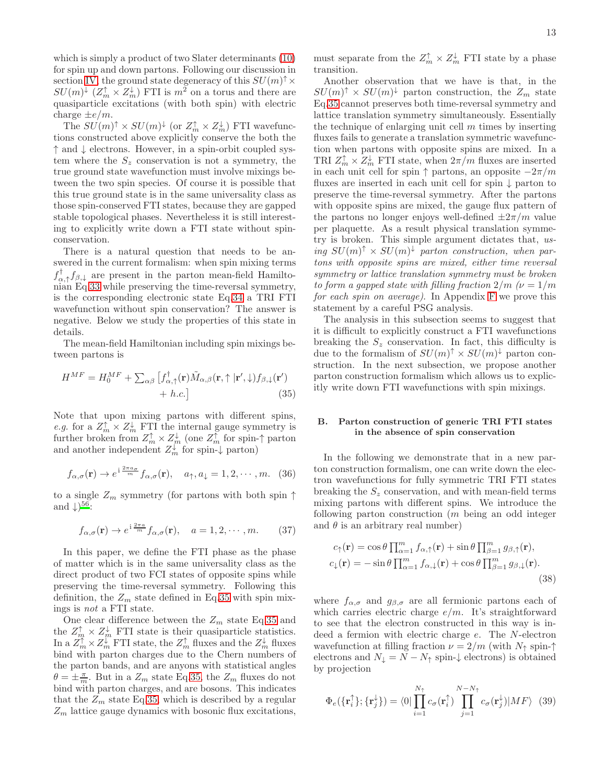which is simply a product of two Slater determinants [\(10\)](#page-5-0) for spin up and down partons. Following our discussion in section [IV,](#page-9-0) the ground state degeneracy of this  $SU(m)^{\uparrow} \times$  $SU(m)^{\downarrow}$   $(Z_m^{\uparrow} \times Z_m^{\downarrow})$  FTI is  $m^2$  on a torus and there are quasiparticle excitations (with both spin) with electric charge  $\pm e/m$ .

The  $SU(m)^{\uparrow} \times SU(m)^{\downarrow}$  (or  $Z_m^{\uparrow} \times Z_m^{\downarrow}$ ) FTI wavefunctions constructed above explicitly conserve the both the ↑ and ↓ electrons. However, in a spin-orbit coupled system where the  $S_z$  conservation is not a symmetry, the true ground state wavefunction must involve mixings between the two spin species. Of course it is possible that this true ground state is in the same universality class as those spin-conserved FTI states, because they are gapped stable topological phases. Nevertheless it is still interesting to explicitly write down a FTI state without spinconservation.

There is a natural question that needs to be answered in the current formalism: when spin mixing terms  $f_{\alpha,\uparrow}^{\dagger} f_{\beta,\downarrow}$  are present in the parton mean-field Hamiltonian Eq[.33](#page-11-2) while preserving the time-reversal symmetry, is the corresponding electronic state Eq[.34](#page-11-3) a TRI FTI wavefunction without spin conservation? The answer is negative. Below we study the properties of this state in details.

The mean-field Hamiltonian including spin mixings between partons is

<span id="page-12-0"></span>
$$
H^{MF} = H_0^{MF} + \sum_{\alpha\beta} \left[ f_{\alpha,\uparrow}^{\dagger}(\mathbf{r}) \tilde{M}_{\alpha,\beta}(\mathbf{r}, \uparrow | \mathbf{r}', \downarrow) f_{\beta,\downarrow}(\mathbf{r}') + h.c. \right]
$$
(35)

Note that upon mixing partons with different spins, e.g. for a  $Z_m^{\uparrow} \times Z_m^{\downarrow}$  FTI the internal gauge symmetry is further broken from  $Z_m^{\uparrow} \times Z_m^{\downarrow}$  (one  $Z_m^{\uparrow}$  for spin- $\uparrow$  parton and another independent  $Z_m^{\downarrow}$  for spin- $\downarrow$  parton)

$$
f_{\alpha,\sigma}(\mathbf{r}) \to e^{i\frac{2\pi a_{\sigma}}{m}} f_{\alpha,\sigma}(\mathbf{r}), \quad a_{\uparrow}, a_{\downarrow} = 1, 2, \cdots, m. \quad (36)
$$

to a single  $Z_m$  symmetry (for partons with both spin  $\uparrow$ and  $\downarrow$ )<sup>[56](#page-22-45)</sup>:

$$
f_{\alpha,\sigma}(\mathbf{r}) \to e^{i\frac{2\pi a}{m}} f_{\alpha,\sigma}(\mathbf{r}), \quad a = 1, 2, \cdots, m.
$$
 (37)

In this paper, we define the FTI phase as the phase of matter which is in the same universality class as the direct product of two FCI states of opposite spins while preserving the time-reversal symmetry. Following this definition, the  $Z_m$  state defined in Eq[.35](#page-12-0) with spin mixings is not a FTI state.

One clear difference between the  $Z_m$  state Eq[.35](#page-12-0) and the  $Z_{\text{m}}^{\uparrow} \times Z_{\text{m}}^{\downarrow}$  FTI state is their quasiparticle statistics. In a  $Z_m^{\uparrow} \times Z_m^{\downarrow}$  FTI state, the  $Z_m^{\uparrow}$  fluxes and the  $Z_m^{\downarrow}$  fluxes bind with parton charges due to the Chern numbers of the parton bands, and are anyons with statistical angles  $\theta = \pm \frac{\pi}{m}$ . But in a  $Z_m$  state Eq[.35,](#page-12-0) the  $Z_m$  fluxes do not bind with parton charges, and are bosons. This indicates that the  $Z_m$  state Eq[.35,](#page-12-0) which is described by a regular  $Z_m$  lattice gauge dynamics with bosonic flux excitations,

must separate from the  $Z_m^{\uparrow} \times Z_m^{\downarrow}$  FTI state by a phase transition.

Another observation that we have is that, in the  $SU(m)^{\dagger} \times SU(m)^{\dagger}$  parton construction, the  $Z_m$  state Eq[.35](#page-12-0) cannot preserves both time-reversal symmetry and lattice translation symmetry simultaneously. Essentially the technique of enlarging unit cell  $m$  times by inserting fluxes fails to generate a translation symmetric wavefunction when partons with opposite spins are mixed. In a TRI  $Z_m^{\uparrow} \times Z_m^{\downarrow}$  FTI state, when  $2\pi/m$  fluxes are inserted in each unit cell for spin  $\uparrow$  partons, an opposite  $-2\pi/m$ fluxes are inserted in each unit cell for spin ↓ parton to preserve the time-reversal symmetry. After the partons with opposite spins are mixed, the gauge flux pattern of the partons no longer enjoys well-defined  $\pm 2\pi/m$  value per plaquette. As a result physical translation symmetry is broken. This simple argument dictates that, using  $SU(m)^{\uparrow} \times SU(m)^{\downarrow}$  parton construction, when partons with opposite spins are mixed, either time reversal symmetry or lattice translation symmetry must be broken to form a gapped state with filling fraction  $2/m$  ( $\nu = 1/m$ for each spin on average). In Appendix [F](#page-18-1) we prove this statement by a careful PSG analysis.

The analysis in this subsection seems to suggest that it is difficult to explicitly construct a FTI wavefunctions breaking the  $S_z$  conservation. In fact, this difficulty is due to the formalism of  $SU(m)^{\uparrow} \times SU(m)^{\downarrow}$  parton construction. In the next subsection, we propose another parton construction formalism which allows us to explicitly write down FTI wavefunctions with spin mixings.

#### B. Parton construction of generic TRI FTI states in the absence of spin conservation

In the following we demonstrate that in a new parton construction formalism, one can write down the electron wavefunctions for fully symmetric TRI FTI states breaking the  $S<sub>z</sub>$  conservation, and with mean-field terms mixing partons with different spins. We introduce the following parton construction (m being an odd integer and  $\theta$  is an arbitrary real number)

<span id="page-12-2"></span>
$$
c_{\uparrow}(\mathbf{r}) = \cos\theta \prod_{\alpha=1}^{m} f_{\alpha,\uparrow}(\mathbf{r}) + \sin\theta \prod_{\beta=1}^{m} g_{\beta,\uparrow}(\mathbf{r}),
$$
  

$$
c_{\downarrow}(\mathbf{r}) = -\sin\theta \prod_{\alpha=1}^{m} f_{\alpha,\downarrow}(\mathbf{r}) + \cos\theta \prod_{\beta=1}^{m} g_{\beta,\downarrow}(\mathbf{r}).
$$
(38)

where  $f_{\alpha,\sigma}$  and  $g_{\beta,\sigma}$  are all fermionic partons each of which carries electric charge  $e/m$ . It's straightforward to see that the electron constructed in this way is indeed a fermion with electric charge e. The N-electron wavefunction at filling fraction  $\nu = 2/m$  (with  $N_{\uparrow}$  spin- $\uparrow$ electrons and  $N_{\downarrow} = N - N_{\uparrow}$  spin- $\downarrow$  electrons) is obtained by projection

<span id="page-12-1"></span>
$$
\Phi_e(\{\mathbf{r}_i^{\uparrow}\}; \{\mathbf{r}_j^{\downarrow}\}) = \langle 0 | \prod_{i=1}^{N_{\uparrow}} c_{\sigma}(\mathbf{r}_i^{\uparrow}) \prod_{j=1}^{N-N_{\uparrow}} c_{\sigma}(\mathbf{r}_j^{\downarrow}) | MF \rangle \tag{39}
$$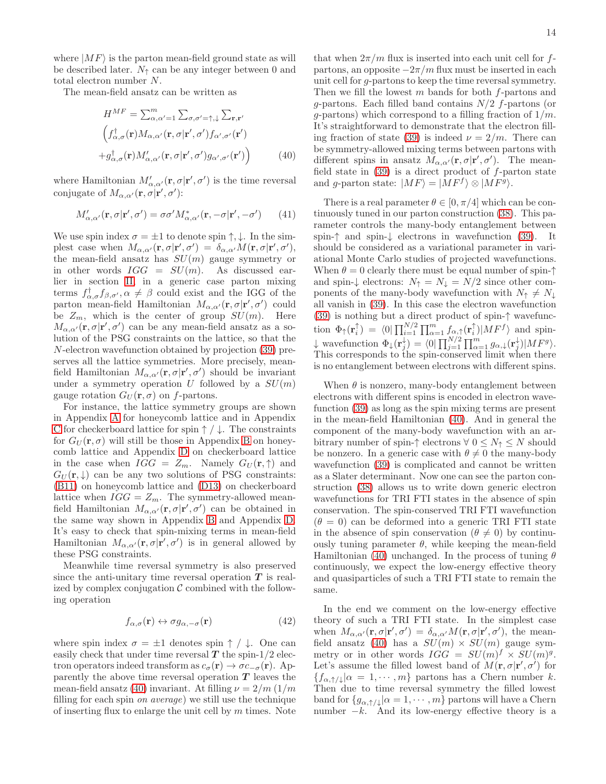where  $|MF\rangle$  is the parton mean-field ground state as will be described later.  $N_{\uparrow}$  can be any integer between 0 and total electron number N.

The mean-field ansatz can be written as

<span id="page-13-0"></span>
$$
H^{MF} = \sum_{\alpha,\alpha'=1}^{m} \sum_{\sigma,\sigma'=\uparrow,\downarrow} \sum_{\mathbf{r},\mathbf{r}'} \left( f_{\alpha,\sigma}^{\dagger}(\mathbf{r}) M_{\alpha,\alpha'}(\mathbf{r},\sigma|\mathbf{r}',\sigma') f_{\alpha',\sigma'}(\mathbf{r}') \right) + g_{\alpha,\sigma}^{\dagger}(\mathbf{r}) M_{\alpha,\alpha'}'(\mathbf{r},\sigma|\mathbf{r}',\sigma') g_{\alpha',\sigma'}(\mathbf{r}') \right)
$$
(40)

where Hamiltonian  $M'_{\alpha,\alpha'}(\mathbf{r},\sigma|\mathbf{r}',\sigma')$  is the time reversal conjugate of  $M_{\alpha,\alpha'}(\mathbf{r},\sigma|\mathbf{r}',\sigma')$ :

$$
M'_{\alpha,\alpha'}(\mathbf{r},\sigma|\mathbf{r}',\sigma') = \sigma\sigma'M^*_{\alpha,\alpha'}(\mathbf{r},-\sigma|\mathbf{r}',-\sigma') \qquad (41)
$$

We use spin index  $\sigma = \pm 1$  to denote spin  $\uparrow, \downarrow$ . In the simplest case when  $M_{\alpha,\alpha'}(\mathbf{r},\sigma|\mathbf{r}',\sigma') = \delta_{\alpha,\alpha'}M(\mathbf{r},\sigma|\mathbf{r}',\sigma'),$ the mean-field ansatz has  $SU(m)$  gauge symmetry or in other words  $IGG = SU(m)$ . As discussed earlier in section [II,](#page-2-0) in a generic case parton mixing terms  $f_{\alpha,\sigma}^{\dagger} f_{\beta,\sigma'}, \alpha \neq \beta$  could exist and the IGG of the parton mean-field Hamiltonian  $M_{\alpha,\alpha'}(\mathbf{r},\sigma|\mathbf{r}',\sigma')$  could be  $Z_m$ , which is the center of group  $SU(m)$ . Here  $M_{\alpha,\alpha'}(\mathbf{r},\sigma|\mathbf{r}',\sigma')$  can be any mean-field ansatz as a solution of the PSG constraints on the lattice, so that the N-electron wavefunction obtained by projection [\(39\)](#page-12-1) preserves all the lattice symmetries. More precisely, meanfield Hamiltonian  $M_{\alpha,\alpha'}(\mathbf{r},\sigma|\mathbf{r}',\sigma')$  should be invariant under a symmetry operation U followed by a  $SU(m)$ gauge rotation  $G_U(\mathbf{r}, \sigma)$  on f-partons.

For instance, the lattice symmetry groups are shown in Appendix [A](#page-14-0) for honeycomb lattice and in Appendix [C](#page-16-1) for checkerboard lattice for spin  $\uparrow/\downarrow$ . The constraints for  $G_U(\mathbf{r}, \sigma)$  will still be those in Appendix [B](#page-15-0) on honeycomb lattice and Appendix [D](#page-16-0) on checkerboard lattice in the case when  $IGG = Z_m$ . Namely  $G_U(\mathbf{r}, \uparrow)$  and  $G_U(\mathbf{r},\downarrow)$  can be any two solutions of PSG constraints: [\(B11\)](#page-15-1) on honeycomb lattice and [\(D13\)](#page-17-0) on checkerboard lattice when  $IGG = Z_m$ . The symmetry-allowed meanfield Hamiltonian  $M_{\alpha,\alpha'}(\mathbf{r},\sigma|\mathbf{r}',\sigma')$  can be obtained in the same way shown in Appendix [B](#page-15-0) and Appendix [D.](#page-16-0) It's easy to check that spin-mixing terms in mean-field Hamiltonian  $M_{\alpha,\alpha'}(\mathbf{r},\sigma|\mathbf{r}',\sigma')$  is in general allowed by these PSG constraints.

Meanwhile time reversal symmetry is also preserved since the anti-unitary time reversal operation  $T$  is realized by complex conjugation  $\mathcal C$  combined with the following operation

$$
f_{\alpha,\sigma}(\mathbf{r}) \leftrightarrow \sigma g_{\alpha,-\sigma}(\mathbf{r}) \tag{42}
$$

where spin index  $\sigma = \pm 1$  denotes spin  $\uparrow / \downarrow$ . One can easily check that under time reversal  $T$  the spin-1/2 electron operators indeed transform as  $c_{\sigma}(\mathbf{r}) \rightarrow \sigma c_{-\sigma}(\mathbf{r})$ . Apparently the above time reversal operation  $T$  leaves the mean-field ansatz [\(40\)](#page-13-0) invariant. At filling  $\nu = 2/m (1/m)$ filling for each spin on average) we still use the technique of inserting flux to enlarge the unit cell by  $m$  times. Note

that when  $2\pi/m$  flux is inserted into each unit cell for fpartons, an opposite  $-2\pi/m$  flux must be inserted in each unit cell for g-partons to keep the time reversal symmetry. Then we fill the lowest  $m$  bands for both  $f$ -partons and g-partons. Each filled band contains  $N/2$  f-partons (or g-partons) which correspond to a filling fraction of  $1/m$ . It's straightforward to demonstrate that the electron fill-ing fraction of state [\(39\)](#page-12-1) is indeed  $\nu = 2/m$ . There can be symmetry-allowed mixing terms between partons with different spins in ansatz  $M_{\alpha,\alpha'}(\mathbf{r},\sigma|\mathbf{r}',\sigma')$ . The meanfield state in  $(39)$  is a direct product of f-parton state and g-parton state:  $|MF\rangle = |MF\rangle \otimes |MF\rangle$ .

There is a real parameter  $\theta \in [0, \pi/4]$  which can be continuously tuned in our parton construction [\(38\)](#page-12-2). This parameter controls the many-body entanglement between spin-↑ and spin-↓ electrons in wavefunction [\(39\)](#page-12-1). It should be considered as a variational parameter in variational Monte Carlo studies of projected wavefunctions. When  $\theta = 0$  clearly there must be equal number of spin- $\uparrow$ and spin- $\downarrow$  electrons:  $N_{\uparrow} = N_{\downarrow} = N/2$  since other components of the many-body wavefunction with  $N_{\uparrow} \neq N_{\downarrow}$ all vanish in [\(39\)](#page-12-1). In this case the electron wavefunction [\(39\)](#page-12-1) is nothing but a direct product of spin-↑ wavefunction  $\Phi_{\uparrow}(\mathbf{r}_i^{\uparrow}) = \langle 0 | \prod_{i=1}^{N/2} \prod_{\alpha=1}^{m} f_{\alpha,\uparrow}(\mathbf{r}_i^{\uparrow}) | M F^f \rangle$  and spin- $\downarrow$  wavefunction  $\Phi_{\downarrow}(\mathbf{r}_{j}^{\downarrow}) = \langle 0 | \prod_{j=1}^{N/2} \prod_{\alpha=1}^{m} g_{\alpha,\downarrow}(\mathbf{r}_{j}^{\downarrow}) | M F^{g} \rangle.$ This corresponds to the spin-conserved limit when there is no entanglement between electrons with different spins.

When  $\theta$  is nonzero, many-body entanglement between electrons with different spins is encoded in electron wavefunction [\(39\)](#page-12-1) as long as the spin mixing terms are present in the mean-field Hamiltonian [\(40\)](#page-13-0). And in general the component of the many-body wavefunction with an arbitrary number of spin- $\uparrow$  electrons  $\forall$  0  $\leq$   $N_{\uparrow} \leq N$  should be nonzero. In a generic case with  $\theta \neq 0$  the many-body wavefunction [\(39\)](#page-12-1) is complicated and cannot be written as a Slater determinant. Now one can see the parton construction [\(38\)](#page-12-2) allows us to write down generic electron wavefunctions for TRI FTI states in the absence of spin conservation. The spin-conserved TRI FTI wavefunction  $(\theta = 0)$  can be deformed into a generic TRI FTI state in the absence of spin conservation ( $\theta \neq 0$ ) by continuously tuning parameter  $\theta$ , while keeping the mean-field Hamiltonian [\(40\)](#page-13-0) unchanged. In the process of tuning  $\theta$ continuously, we expect the low-energy effective theory and quasiparticles of such a TRI FTI state to remain the same.

In the end we comment on the low-energy effective theory of such a TRI FTI state. In the simplest case when  $M_{\alpha,\alpha'}(\mathbf{r},\sigma|\mathbf{r}',\sigma') = \delta_{\alpha,\alpha'}M(\mathbf{r},\sigma|\mathbf{r}',\sigma')$ , the mean-field ansatz [\(40\)](#page-13-0) has a  $SU(m) \times SU(m)$  gauge symmetry or in other words  $IGG = SU(m)^f \times SU(m)^g$ . Let's assume the filled lowest band of  $M(\mathbf{r}, \sigma | \mathbf{r}', \sigma')$  for  ${f_{\alpha,\uparrow/\downarrow}|\alpha=1,\cdots,m}$  partons has a Chern number k. Then due to time reversal symmetry the filled lowest band for  $\{g_{\alpha,\uparrow/\downarrow}|\alpha=1,\cdots,m\}$  partons will have a Chern number  $-k$ . And its low-energy effective theory is a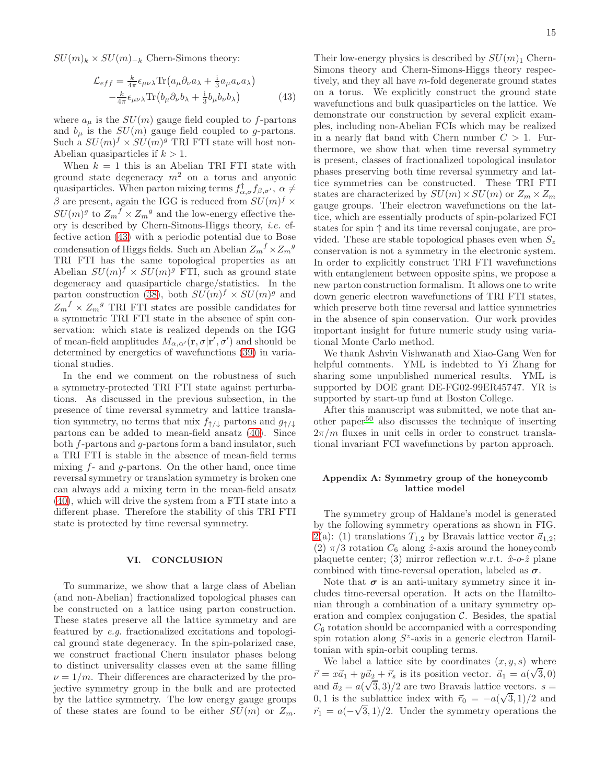$SU(m)_k \times SU(m)_{-k}$  Chern-Simons theory:

<span id="page-14-1"></span>
$$
\mathcal{L}_{eff} = \frac{k}{4\pi} \epsilon_{\mu\nu\lambda} \text{Tr} \left( a_{\mu} \partial_{\nu} a_{\lambda} + \frac{\mathrm{i}}{3} a_{\mu} a_{\nu} a_{\lambda} \right) -\frac{k}{4\pi} \epsilon_{\mu\nu\lambda} \text{Tr} \left( b_{\mu} \partial_{\nu} b_{\lambda} + \frac{\mathrm{i}}{3} b_{\mu} b_{\nu} b_{\lambda} \right)
$$
(43)

where  $a_{\mu}$  is the  $SU(m)$  gauge field coupled to f-partons and  $b_{\mu}$  is the  $SU(m)$  gauge field coupled to g-partons. Such a  $SU(m)^f \times SU(m)^g$  TRI FTI state will host non-Abelian quasiparticles if  $k > 1$ .

When  $k = 1$  this is an Abelian TRI FTI state with ground state degeneracy  $m^2$  on a torus and anyonic quasiparticles. When parton mixing terms  $f_{\alpha,\sigma}^{\dagger} f_{\beta,\sigma'}$ ,  $\alpha \neq$  $\beta$  are present, again the IGG is reduced from  $SU(m)^f \times$  $SU(m)^g$  to  $Z_m^f \times Z_m^g$  and the low-energy effective theory is described by Chern-Simons-Higgs theory, i.e. effective action [\(43\)](#page-14-1) with a periodic potential due to Bose condensation of Higgs fields. Such an Abelian  $Z_m^f \times Z_m^g$ TRI FTI has the same topological properties as an Abelian  $SU(m)^f \times SU(m)^g$  FTI, such as ground state degeneracy and quasiparticle charge/statistics. In the parton construction [\(38\)](#page-12-2), both  $SU(m)^f \times SU(m)^g$  and  $Z_m^f \times Z_m^g$  TRI FTI states are possible candidates for a symmetric TRI FTI state in the absence of spin conservation: which state is realized depends on the IGG of mean-field amplitudes  $M_{\alpha,\alpha'}(\mathbf{r}, \sigma | \mathbf{r}', \sigma')$  and should be determined by energetics of wavefunctions [\(39\)](#page-12-1) in variational studies.

In the end we comment on the robustness of such a symmetry-protected TRI FTI state against perturbations. As discussed in the previous subsection, in the presence of time reversal symmetry and lattice translation symmetry, no terms that mix  $f_{\uparrow/\downarrow}$  partons and  $g_{\uparrow/\downarrow}$ partons can be added to mean-field ansatz [\(40\)](#page-13-0). Since both f-partons and g-partons form a band insulator, such a TRI FTI is stable in the absence of mean-field terms mixing  $f$ - and  $g$ -partons. On the other hand, once time reversal symmetry or translation symmetry is broken one can always add a mixing term in the mean-field ansatz [\(40\)](#page-13-0), which will drive the system from a FTI state into a different phase. Therefore the stability of this TRI FTI state is protected by time reversal symmetry.

#### VI. CONCLUSION

To summarize, we show that a large class of Abelian (and non-Abelian) fractionalized topological phases can be constructed on a lattice using parton construction. These states preserve all the lattice symmetry and are featured by e.g. fractionalized excitations and topological ground state degeneracy. In the spin-polarized case, we construct fractional Chern insulator phases belong to distinct universality classes even at the same filling  $\nu = 1/m$ . Their differences are characterized by the projective symmetry group in the bulk and are protected by the lattice symmetry. The low energy gauge groups of these states are found to be either  $SU(m)$  or  $Z_m$ .

Their low-energy physics is described by  $SU(m)_1$  Chern-Simons theory and Chern-Simons-Higgs theory respectively, and they all have  $m$ -fold degenerate ground states on a torus. We explicitly construct the ground state wavefunctions and bulk quasiparticles on the lattice. We demonstrate our construction by several explicit examples, including non-Abelian FCIs which may be realized in a nearly flat band with Chern number  $C > 1$ . Furthermore, we show that when time reversal symmetry is present, classes of fractionalized topological insulator phases preserving both time reversal symmetry and lattice symmetries can be constructed. These TRI FTI states are characterized by  $SU(m) \times SU(m)$  or  $Z_m \times Z_m$ gauge groups. Their electron wavefunctions on the lattice, which are essentially products of spin-polarized FCI states for spin ↑ and its time reversal conjugate, are provided. These are stable topological phases even when  $S_z$ conservation is not a symmetry in the electronic system. In order to explicitly construct TRI FTI wavefunctions with entanglement between opposite spins, we propose a new parton construction formalism. It allows one to write down generic electron wavefunctions of TRI FTI states, which preserve both time reversal and lattice symmetries in the absence of spin conservation. Our work provides important insight for future numeric study using variational Monte Carlo method.

We thank Ashvin Vishwanath and Xiao-Gang Wen for helpful comments. YML is indebted to Yi Zhang for sharing some unpublished numerical results. YML is supported by DOE grant DE-FG02-99ER45747. YR is supported by start-up fund at Boston College.

After this manuscript was submitted, we note that an-other paper<sup>[50](#page-22-46)</sup> also discusses the technique of inserting  $2\pi/m$  fluxes in unit cells in order to construct translational invariant FCI wavefunctions by parton approach.

# <span id="page-14-0"></span>Appendix A: Symmetry group of the honeycomb lattice model

The symmetry group of Haldane's model is generated by the following symmetry operations as shown in FIG. [2\(](#page-6-1)a): (1) translations  $T_{1,2}$  by Bravais lattice vector  $\vec{a}_{1,2}$ ; (2)  $\pi/3$  rotation  $C_6$  along  $\hat{z}$ -axis around the honeycomb plaquette center; (3) mirror reflection w.r.t.  $\hat{x}$ -o- $\hat{z}$  plane combined with time-reversal operation, labeled as  $\sigma$ .

Note that  $\sigma$  is an anti-unitary symmetry since it includes time-reversal operation. It acts on the Hamiltonian through a combination of a unitary symmetry operation and complex conjugation  $C$ . Besides, the spatial  $C_6$  rotation should be accompanied with a corresponding spin rotation along  $S^z$ -axis in a generic electron Hamiltonian with spin-orbit coupling terms.

We label a lattice site by coordinates  $(x, y, s)$  where  $\vec{r} = x\vec{a}_1 + y\vec{a}_2 + \vec{r}_s$  is its position vector.  $\vec{a}_1 = a(\sqrt{3}, 0)$ and  $\vec{a}_2 = a(\sqrt{3}, 3)/2$  are two Bravais lattice vectors.  $s =$ 0, 1 is the sublattice index with  $\vec{r}_0 = -a(\sqrt{3}, 1)/2$  and  $\vec{r}_1 = a(-\sqrt{3}, 1)/2$ . Under the symmetry operations the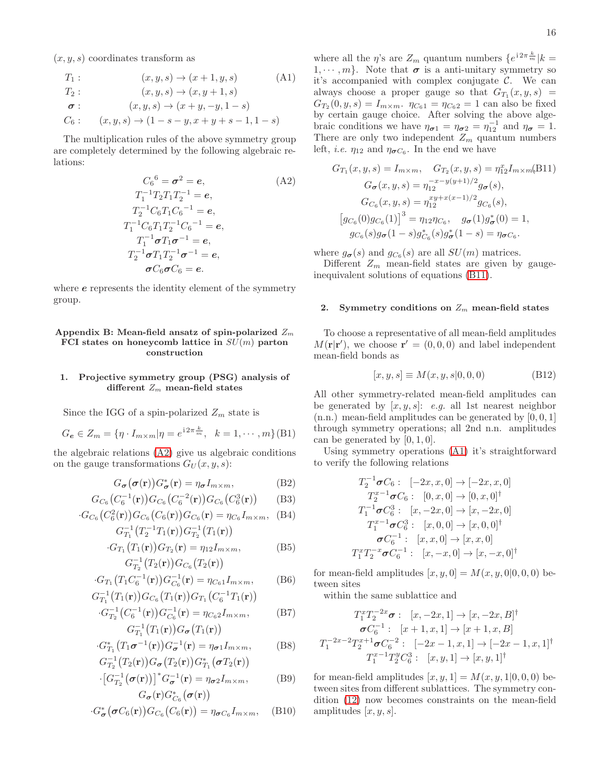$(x, y, s)$  coordinates transform as

<span id="page-15-3"></span>
$$
T_1: (x, y, s) \to (x + 1, y, s)
$$
\n
$$
T_2: (x, y, s) \to (x, y + 1, s)
$$
\n
$$
\sigma: (x, y, s) \to (x + y, -y, 1 - s)
$$
\n
$$
C_6: (x, y, s) \to (1 - s - y, x + y + s - 1, 1 - s)
$$

The multiplication rules of the above symmetry group are completely determined by the following algebraic relations:

<span id="page-15-2"></span>
$$
C_6{}^6 = \sigma^2 = e,
$$
\n
$$
T_1^{-1} T_2 T_1 T_2^{-1} = e,
$$
\n
$$
T_2^{-1} C_6 T_1 C_6^{-1} = e,
$$
\n
$$
T_1^{-1} C_6 T_1 T_2^{-1} C_6^{-1} = e,
$$
\n
$$
T_1^{-1} \sigma T_1 \sigma^{-1} = e,
$$
\n
$$
T_2^{-1} \sigma T_1 T_2^{-1} \sigma^{-1} = e,
$$
\n
$$
\sigma C_6 \sigma C_6 = e.
$$
\n(A2)

where  $e$  represents the identity element of the symmetry group.

## <span id="page-15-0"></span>Appendix B: Mean-field ansatz of spin-polarized  $Z_m$ FCI states on honeycomb lattice in  $SU(m)$  parton construction

# 1. Projective symmetry group (PSG) analysis of different  $Z_m$  mean-field states

Since the IGG of a spin-polarized  $Z_m$  state is

$$
G_e \in Z_m = \{ \eta \cdot I_{m \times m} | \eta = e^{i 2 \pi \frac{k}{m}}, \ \ k = 1, \cdots, m \} (B1)
$$

the algebraic relations [\(A2\)](#page-15-2) give us algebraic conditions on the gauge transformations  $G_U(x, y, s)$ :

$$
G_{\sigma}(\sigma(\mathbf{r}))G_{\sigma}^{*}(\mathbf{r}) = \eta_{\sigma}I_{m \times m},
$$
 (B2)

$$
G_{C_6}(C_6^{-1}(\mathbf{r}))G_{C_6}(C_6^{-2}(\mathbf{r}))G_{C_6}(C_6^3(\mathbf{r}))\qquad(B3)
$$

$$
G_{C_6}(C_6^2(\mathbf{r}))G_{C_6}(C_6(\mathbf{r}))G_{C_6}(\mathbf{r}) = \eta_{C_6}I_{m \times m}, \quad (B4)
$$

$$
G_{T_1}^{-1}(T_2^{-1}T_1(\mathbf{r}))G_{T_2}^{-1}(T_1(\mathbf{r}))
$$
  
\n
$$
G_{T_1}(T_1(\mathbf{r}))G_{T_2}(\mathbf{r}) = \eta_{12}I_{m \times m},
$$
  
\n
$$
G_{T_2}^{-1}(T_2(\mathbf{r}))G_{C_6}(T_2(\mathbf{r}))
$$
\n(B5)

$$
G_{T_1}(T_1 C_6^{-1}(\mathbf{r})) G_{C_6}^{-1}(\mathbf{r}) = \eta_{C_6 1} I_{m \times m}, \quad (B6)
$$

$$
G_{T_1}^{-1}\bigl(T_1(\mathbf{r})\bigr)G_{C_6}\bigl(T_1(\mathbf{r})\bigr)G_{T_1}\bigl(C_6^{-1}T_1(\mathbf{r})\bigr)
$$

$$
G_{T_2}^{-1}(C_6^{-1}(\mathbf{r}))G_{C_6}^{-1}(\mathbf{r}) = \eta_{C_62}I_{m \times m},
$$
(B7)  

$$
G_{T_1}^{-1}(T_1(\mathbf{r}))G_{\sigma}(T_1(\mathbf{r}))
$$

$$
G_{T_1}^*\big(T_1\sigma^{-1}(\mathbf{r})\big)G_{\sigma}^{-1}(\mathbf{r}) = \eta_{\sigma1}I_{m \times m},
$$
(B8)

$$
G_{T_2}^{-1}(T_2(\mathbf{r}))G_{\boldsymbol{\sigma}}(T_2(\mathbf{r}))G_{T_1}^*(\boldsymbol{\sigma}T_2(\mathbf{r}))
$$

$$
\begin{aligned} \left[ G_{T_2}^{-1}(\boldsymbol{\sigma}(\mathbf{r})) \right]^* G_{\boldsymbol{\sigma}}^{-1}(\mathbf{r}) &= \eta_{\boldsymbol{\sigma}2} I_{m \times m}, \qquad (B9) \\ G_{\boldsymbol{\sigma}}(\mathbf{r}) G_{C_6}^*(\boldsymbol{\sigma}(\mathbf{r})) \end{aligned}
$$

$$
\cdot G^*_{\boldsymbol{\sigma}}(\boldsymbol{\sigma} C_6(\mathbf{r})) G_{C_6}(C_6(\mathbf{r})) = \eta_{\boldsymbol{\sigma} C_6} I_{m \times m}, \quad \text{(B10)}
$$

where all the  $\eta$ 's are  $Z_m$  quantum numbers  $\{e^{i2\pi \frac{k}{m}}|k=$  $1, \dots, m$ . Note that  $\sigma$  is a anti-unitary symmetry so it's accompanied with complex conjugate  $\mathcal{C}$ . We can always choose a proper gauge so that  $G_{T_1}(x, y, s) =$  $G_{T_2}(0, y, s) = I_{m \times m}$ .  $\eta_{C_61} = \eta_{C_62} = 1$  can also be fixed by certain gauge choice. After solving the above algebraic conditions we have  $\eta_{\sigma 1} = \eta_{\sigma 2} = \eta_{12}^{-1}$  and  $\eta_{\sigma} = 1$ . There are only two independent  $Z_m$  quantum numbers left, *i.e.*  $\eta_{12}$  and  $\eta_{\sigma C_6}$ . In the end we have

<span id="page-15-1"></span>
$$
G_{T_1}(x, y, s) = I_{m \times m}, \quad G_{T_2}(x, y, s) = \eta_{12}^x I_{m \times m}(\text{B11})
$$

$$
G_{\sigma}(x, y, s) = \eta_{12}^{-x - y(y+1)/2} g_{\sigma}(s),
$$

$$
G_{C_6}(x, y, s) = \eta_{12}^{xy + x(x-1)/2} g_{C_6}(s),
$$

$$
[g_{C_6}(0)g_{C_6}(1)]^3 = \eta_{12}\eta_{C_6}, \quad g_{\sigma}(1)g_{\sigma}^*(0) = 1,
$$

$$
g_{C_6}(s)g_{\sigma}(1 - s)g_{C_6}^*(s)g_{\sigma}^*(1 - s) = \eta_{\sigma C_6}.
$$

where  $g_{\sigma}(s)$  and  $g_{C_6}(s)$  are all  $SU(m)$  matrices.

Different  $Z_m$  mean-field states are given by gaugeinequivalent solutions of equations [\(B11\)](#page-15-1).

#### 2. Symmetry conditions on  $Z_m$  mean-field states

To choose a representative of all mean-field amplitudes  $M(\mathbf{r}|\mathbf{r}')$ , we choose  $\mathbf{r}' = (0,0,0)$  and label independent mean-field bonds as

$$
[x, y, s] \equiv M(x, y, s | 0, 0, 0)
$$
 (B12)

All other symmetry-related mean-field amplitudes can be generated by  $[x, y, s]$ : e.g. all 1st nearest neighbor  $(n.n.)$  mean-field amplitudes can be generated by  $[0, 0, 1]$ through symmetry operations; all 2nd n.n. amplitudes can be generated by  $[0, 1, 0]$ .

Using symmetry operations [\(A1\)](#page-15-3) it's straightforward to verify the following relations

$$
T_2^{-1}\sigma C_6: [-2x, x, 0] \rightarrow [-2x, x, 0]
$$
  
\n
$$
T_2^{x-1}\sigma C_6: [0, x, 0] \rightarrow [0, x, 0]^{\dagger}
$$
  
\n
$$
T_1^{-1}\sigma C_6^3: [x, -2x, 0] \rightarrow [x, -2x, 0]
$$
  
\n
$$
T_1^{x-1}\sigma C_6^3: [x, 0, 0] \rightarrow [x, 0, 0]^{\dagger}
$$
  
\n
$$
\sigma C_6^{-1}: [x, x, 0] \rightarrow [x, x, 0]
$$
  
\n
$$
T_1^xT_2^{-x}\sigma C_6^{-1}: [x, -x, 0] \rightarrow [x, -x, 0]^{\dagger}
$$

for mean-field amplitudes  $[x, y, 0] = M(x, y, 0|0, 0, 0)$  between sites

within the same sublattice and

$$
T_1^x T_2^{-2x} \sigma : [x, -2x, 1] \rightarrow [x, -2x, B]^{\dagger}
$$

$$
\sigma C_6^{-1} : [x + 1, x, 1] \rightarrow [x + 1, x, B]
$$

$$
T_1^{-2x-2} T_2^{x+1} \sigma C_6^{-2} : [-2x - 1, x, 1] \rightarrow [-2x - 1, x, 1]^{\dagger}
$$

$$
T_1^{x-1} T_2^y C_6^3 : [x, y, 1] \rightarrow [x, y, 1]^{\dagger}
$$

for mean-field amplitudes  $[x, y, 1] = M(x, y, 1|0, 0, 0)$  between sites from different sublattices. The symmetry condition [\(12\)](#page-5-3) now becomes constraints on the mean-field amplitudes  $[x, y, s]$ .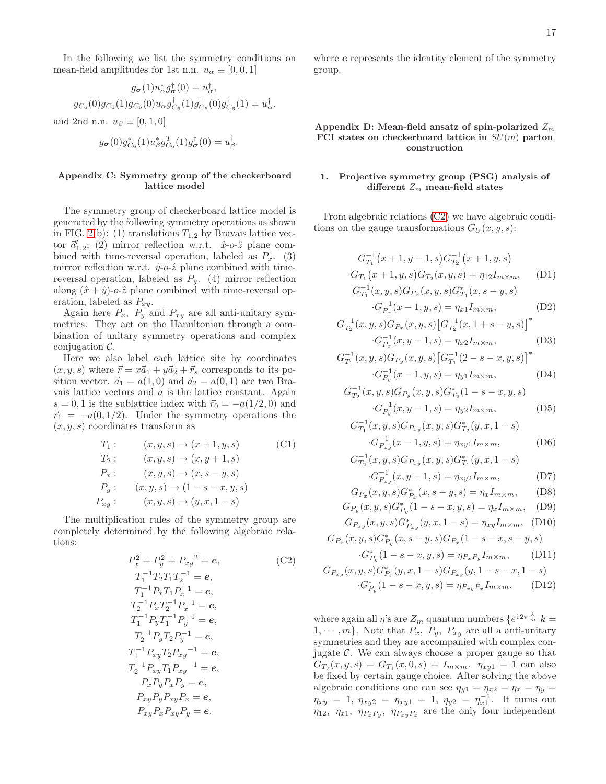In the following we list the symmetry conditions on mean-field amplitudes for 1st n.n.  $u_{\alpha} \equiv [0, 0, 1]$ 

$$
g_{\sigma}(1)u_{\alpha}^{*}g_{\sigma}^{\dagger}(0) = u_{\alpha}^{\dagger},
$$
  

$$
g_{C_{6}}(0)g_{C_{6}}(1)g_{C_{6}}(0)u_{\alpha}g_{C_{6}}^{\dagger}(1)g_{C_{6}}^{\dagger}(0)g_{C_{6}}^{\dagger}(1) = u_{\alpha}^{\dagger}.
$$

and 2nd n.n.  $u_{\beta} \equiv [0, 1, 0]$ 

$$
g_{\boldsymbol{\sigma}}(0)g_{C_6}^*(1)u_{\beta}^*g_{C_6}^T(1)g_{\boldsymbol{\sigma}}^{\dagger}(0)=u_{\beta}^{\dagger}.
$$

#### <span id="page-16-1"></span>Appendix C: Symmetry group of the checkerboard lattice model

The symmetry group of checkerboard lattice model is generated by the following symmetry operations as shown in FIG. [2\(](#page-6-1)b): (1) translations  $T_{1,2}$  by Bravais lattice vector  $\vec{a}'_{1,2}$ ; (2) mirror reflection w.r.t.  $\hat{x}$ -o- $\hat{z}$  plane combined with time-reversal operation, labeled as  $P_x$ . (3) mirror reflection w.r.t.  $\hat{y}$ -o- $\hat{z}$  plane combined with timereversal operation, labeled as  $P_y$ . (4) mirror reflection along  $(\hat{x} + \hat{y})$ -o- $\hat{z}$  plane combined with time-reversal operation, labeled as  $P_{xy}$ .

Again here  $P_x$ ,  $P_y$  and  $P_{xy}$  are all anti-unitary symmetries. They act on the Hamiltonian through a combination of unitary symmetry operations and complex conjugation  $\mathcal{C}$ .

Here we also label each lattice site by coordinates  $(x, y, s)$  where  $\vec{r} = x\vec{a}_1 + y\vec{a}_2 + \vec{r}_s$  corresponds to its position vector.  $\vec{a}_1 = a(1,0)$  and  $\vec{a}_2 = a(0,1)$  are two Bravais lattice vectors and a is the lattice constant. Again  $s = 0, 1$  is the sublattice index with  $\vec{r}_0 = -a(1/2, 0)$  and  $\vec{r}_1 = -a(0, 1/2)$ . Under the symmetry operations the  $(x, y, s)$  coordinates transform as

<span id="page-16-3"></span>
$$
T_1: (x, y, s) \to (x + 1, y, s)
$$
 (C1)  
\n
$$
T_2: (x, y, s) \to (x, y + 1, s)
$$
  
\n
$$
P_x: (x, y, s) \to (x, s - y, s)
$$
  
\n
$$
P_y: (x, y, s) \to (1 - s - x, y, s)
$$
  
\n
$$
P_{xy}: (x, y, s) \to (y, x, 1 - s)
$$

The multiplication rules of the symmetry group are completely determined by the following algebraic relations:

<span id="page-16-2"></span>
$$
P_x^2 = P_y^2 = P_{xy}^2 = e,
$$
\n
$$
T_1^{-1}T_2T_1T_2^{-1} = e,
$$
\n
$$
T_1^{-1}P_xT_1P_x^{-1} = e,
$$
\n
$$
T_2^{-1}P_xT_2^{-1}P_x^{-1} = e,
$$
\n
$$
T_1^{-1}P_yT_1^{-1}P_y^{-1} = e,
$$
\n
$$
T_2^{-1}P_yT_2P_y^{-1} = e,
$$
\n
$$
T_1^{-1}P_{xy}T_2P_{xy}^{-1} = e,
$$
\n
$$
T_2^{-1}P_{xy}T_1P_{xy}^{-1} = e,
$$
\n
$$
P_xP_yP_xP_y = e,
$$
\n
$$
P_{xy}P_xP_{xy}P_y = e.
$$

where  $e$  represents the identity element of the symmetry group.

#### <span id="page-16-0"></span>Appendix D: Mean-field ansatz of spin-polarized  $Z_m$ FCI states on checkerboard lattice in  $SU(m)$  parton construction

# 1. Projective symmetry group (PSG) analysis of different  $Z_m$  mean-field states

From algebraic relations [\(C2\)](#page-16-2) we have algebraic conditions on the gauge transformations  $G_U(x, y, s)$ :

$$
G_{T_1}^{-1}(x+1, y-1, s)G_{T_2}^{-1}(x+1, y, s)
$$
  
\n
$$
G_{T_1}(x+1, y, s)G_{T_2}(x, y, s) = \eta_{12}I_{m \times m},
$$
 (D1)  
\n
$$
G_{T_1}^{-1}(x, y, s)G_{P_x}(x, y, s)G_{T_1}^*(x, s-y, s)
$$
  
\n
$$
G_{P_x}^{-1}(x-1, y, s) = \eta_{x1}I_{m \times m},
$$
 (D2)

$$
G_{T_2}^{-1}(x, y, s)G_{P_x}(x, y, s)\left[G_{T_2}^{-1}(x, 1+s-y, s)\right]^*
$$
  

$$
G_{P_x}^{-1}(x, y-1, s) = \eta_{x2}I_{m \times m},
$$
 (D3)

$$
G_{T_1}^{-1}(x, y, s)G_{P_y}(x, y, s)\left[G_{T_1}^{-1}(2 - s - x, y, s)\right]^*
$$
  

$$
G_{P_y}^{-1}(x - 1, y, s) = \eta_{y1}I_{m \times m},
$$
 (D4)

$$
G_{T_2}^{-1}(x, y, s)G_{T_2}(x, y, s)G_{T_2}^{*}(1 - s - x, y, s)
$$
  

$$
G_{T_2}^{-1}(x, y, s)G_{T_2}(x, y, s)G_{T_2}^{*}(1 - s - x, y, s)
$$
  

$$
G_{P_y}^{-1}(x, y - 1, s) = \eta_{y2}I_{m \times m},
$$
 (D5)

$$
G_{T_1}^{-1}(x, y, s)G_{P_{xy}}(x, y, s)G_{T_2}^*(y, x, 1 - s)
$$

$$
\cdot G_{P_{xy}}^{-1}(x - 1, y, s) = \eta_{xy1}I_{m \times m},
$$
 (D6)

$$
G_{T_2}^{-1}(x, y, s)G_{P_{xy}}(x, y, s)G_{T_1}^*(y, x, 1 - s)
$$
  
.
$$
G^{-1}(x, y, -1, s) = x, J
$$
 (D7)

$$
G_{P_{xy}}^{-1}(x, y-1, s) = \eta_{xy2} I_{m \times m},
$$
 (D7)

$$
G_{P_x}(x, y, s) G_{P_x}^*(x, s - y, s) = \eta_x I_{m \times m},
$$
 (D8)  
\n
$$
G_{P_y}(x, y, s) G_{P_y}^*(1 - s - x, y, s) = \eta_x I_{m \times m},
$$
 (D9)

$$
G_{P_{xy}}(x, y, s)G_{P_{xy}}^{*}(y, x, 1 - s) = \eta_{xy}I_{m \times m}, \quad (D10)
$$

$$
G_{P_x}(x, y, s) G_{P_y}^*(x, s - y, s) G_{P_x}(1 - s - x, s - y, s)
$$

$$
G_{P_y}^*(1 - s - x, y, s) = \eta_{P_x P_y} I_{m \times m}, \qquad (D11)
$$

$$
G_{P_{xy}}(x, y, s) G_{P_x}^*(y, x, 1 - s) G_{P_{xy}}(y, 1 - s - x, 1 - s)
$$

$$
G_{P_y}^*(1 - s - x, y, s) = \eta_{P_{xy}P_x} I_{m \times m}.
$$
 (D12)

where again all  $\eta$ 's are  $Z_m$  quantum numbers  $\{e^{i2\pi \frac{k}{m}}|k=$  $1, \dots, m$ . Note that  $P_x$ ,  $P_y$ ,  $P_{xy}$  are all a anti-unitary symmetries and they are accompanied with complex conjugate  $\mathcal{C}$ . We can always choose a proper gauge so that  $G_{T_2}(x, y, s) = G_{T_1}(x, 0, s) = I_{m \times m}$ .  $\eta_{xy1} = 1$  can also be fixed by certain gauge choice. After solving the above algebraic conditions one can see  $\eta_{y1} = \eta_{x2} = \eta_x = \eta_y =$  $\eta_{xy} = 1, \ \eta_{xy2} = \eta_{xy1} = 1, \ \eta_{y2} = \eta_{x1}^{-1}.$  It turns out  $\eta_{12}, \eta_{x1}, \eta_{P_xP_y}, \eta_{P_{xy}P_x}$  are the only four independent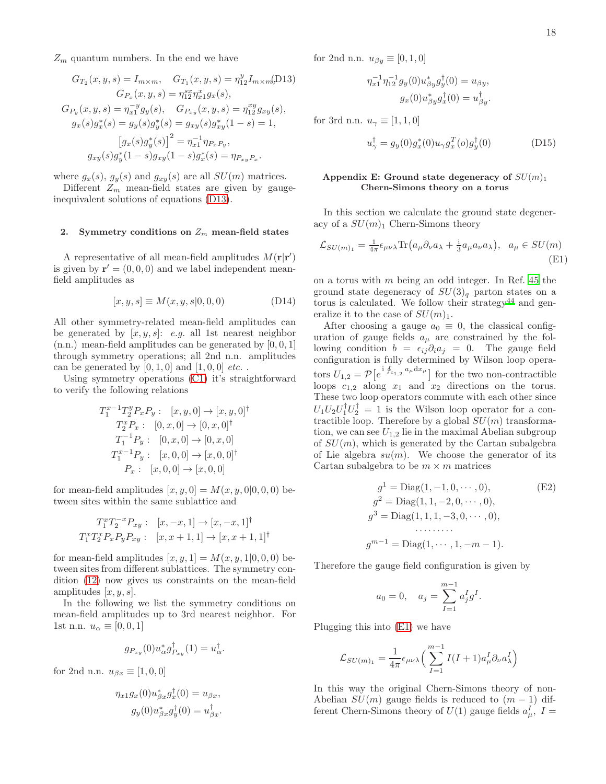$Z_m$  quantum numbers. In the end we have

<span id="page-17-0"></span>
$$
G_{T_2}(x, y, s) = I_{m \times m}, \quad G_{T_1}(x, y, s) = \eta_{12}^y I_{m \times m}(\text{D13})
$$

$$
G_{P_x}(x, y, s) = \eta_{12}^{s_x} \eta_{x1}^x g_x(s),
$$

$$
G_{P_y}(x, y, s) = \eta_{x1}^{-y} g_y(s), \quad G_{P_{xy}}(x, y, s) = \eta_{12}^{xy} g_{xy}(s),
$$

$$
g_x(s)g_x^*(s) = g_y(s)g_y^*(s) = g_{xy}(s)g_{xy}^*(1 - s) = 1,
$$

$$
[g_x(s)g_y^*(s)]^2 = \eta_{x1}^{-1} \eta_{P_xP_y},
$$

$$
g_{xy}(s)g_y^*(1 - s)g_{xy}(1 - s)g_x^*(s) = \eta_{P_{xy}P_x}.
$$

where  $g_x(s)$ ,  $g_y(s)$  and  $g_{xy}(s)$  are all  $SU(m)$  matrices.

Different  $Z_m$  mean-field states are given by gaugeinequivalent solutions of equations [\(D13\)](#page-17-0).

## 2. Symmetry conditions on  $Z_m$  mean-field states

A representative of all mean-field amplitudes  $M(\mathbf{r}|\mathbf{r}')$ is given by  $\mathbf{r}' = (0, 0, 0)$  and we label independent meanfield amplitudes as

$$
[x, y, s] \equiv M(x, y, s | 0, 0, 0)
$$
 (D14)

All other symmetry-related mean-field amplitudes can be generated by  $[x, y, s]$ : e.g. all 1st nearest neighbor  $(n.n.)$  mean-field amplitudes can be generated by  $[0, 0, 1]$ through symmetry operations; all 2nd n.n. amplitudes can be generated by  $[0, 1, 0]$  and  $[1, 0, 0]$  etc...

Using symmetry operations [\(C1\)](#page-16-3) it's straightforward to verify the following relations

$$
T_1^{x-1}T_2^y P_x P_y: [x, y, 0] \rightarrow [x, y, 0]^{\dagger}
$$
  
\n
$$
T_2^x P_x: [0, x, 0] \rightarrow [0, x, 0]^{\dagger}
$$
  
\n
$$
T_1^{-1} P_y: [0, x, 0] \rightarrow [0, x, 0]
$$
  
\n
$$
T_1^{x-1} P_y: [x, 0, 0] \rightarrow [x, 0, 0]^{\dagger}
$$
  
\n
$$
P_x: [x, 0, 0] \rightarrow [x, 0, 0]
$$

for mean-field amplitudes  $[x, y, 0] = M(x, y, 0|0, 0, 0)$  between sites within the same sublattice and

$$
T_1^x T_2^{-x} P_{xy} : [x, -x, 1] \to [x, -x, 1]^{\dagger}
$$
  

$$
T_1^x T_2^x P_x P_y P_{xy} : [x, x+1, 1] \to [x, x+1, 1]^{\dagger}
$$

for mean-field amplitudes  $[x, y, 1] = M(x, y, 1|0, 0, 0)$  between sites from different sublattices. The symmetry condition [\(12\)](#page-5-3) now gives us constraints on the mean-field amplitudes  $[x, y, s]$ .

In the following we list the symmetry conditions on mean-field amplitudes up to 3rd nearest neighbor. For 1st n.n.  $u_{\alpha} \equiv [0, 0, 1]$ 

$$
g_{P_{xy}}(0)u_{\alpha}^*g_{P_{xy}}^{\dagger}(1) = u_{\alpha}^{\dagger}.
$$

for 2nd n.n.  $u_{\beta x} \equiv [1, 0, 0]$ 

$$
\eta_{x1}g_x(0)u_{\beta x}^*g_x^{\dagger}(0) = u_{\beta x}, g_y(0)u_{\beta x}^*g_y^{\dagger}(0) = u_{\beta x}^{\dagger}.
$$

for 2nd n.n.  $u_{\beta y} \equiv [0, 1, 0]$ 

$$
\eta_{x1}^{-1} \eta_{12}^{-1} g_y(0) u_{\beta y}^* g_y^{\dagger}(0) = u_{\beta y},
$$
  

$$
g_x(0) u_{\beta y}^* g_x^{\dagger}(0) = u_{\beta y}^{\dagger}.
$$

for 3rd n.n.  $u_{\gamma} \equiv [1, 1, 0]$ 

$$
u_{\gamma}^{\dagger} = g_y(0)g_x^*(0)u_{\gamma}g_x^T(o)g_y^{\dagger}(0)
$$
 (D15)

#### <span id="page-17-1"></span>Appendix E: Ground state degeneracy of  $SU(m)_1$ Chern-Simons theory on a torus

In this section we calculate the ground state degeneracy of a  $SU(m)_1$  Chern-Simons theory

<span id="page-17-3"></span>
$$
\mathcal{L}_{SU(m)_1} = \frac{1}{4\pi} \epsilon_{\mu\nu\lambda} \text{Tr} \left( a_{\mu} \partial_{\nu} a_{\lambda} + \frac{1}{3} a_{\mu} a_{\nu} a_{\lambda} \right), \quad a_{\mu} \in SU(m) \tag{E1}
$$

on a torus with m being an odd integer. In Ref. [45](#page-22-38) the ground state degeneracy of  $SU(3)<sub>q</sub>$  parton states on a torus is calculated. We follow their strategy<sup>[44](#page-22-37)</sup> and generalize it to the case of  $SU(m)_1$ .

After choosing a gauge  $a_0 \equiv 0$ , the classical configuration of gauge fields  $a_{\mu}$  are constrained by the following condition  $b = \epsilon_{ij}\partial_i a_j = 0$ . The gauge field configuration is fully determined by Wilson loop operators  $U_{1,2} = \mathcal{P}\left[e^{i \oint_{c_{1,2}} a_{\mu} dx_{\mu}}\right]$  for the two non-contractible loops  $c_{1,2}$  along  $x_1$  and  $x_2$  directions on the torus. These two loop operators commute with each other since  $U_1U_2U_1^{\dagger}U_2^{\dagger} = 1$  is the Wilson loop operator for a contractible loop. Therefore by a global  $SU(m)$  transformation, we can see  $U_{1,2}$  lie in the maximal Abelian subgroup of  $SU(m)$ , which is generated by the Cartan subalgebra of Lie algebra  $su(m)$ . We choose the generator of its Cartan subalgebra to be  $m \times m$  matrices

<span id="page-17-2"></span>
$$
g^{1} = \text{Diag}(1, -1, 0, \cdots, 0),
$$
(E2)  
\n
$$
g^{2} = \text{Diag}(1, 1, -2, 0, \cdots, 0),
$$
  
\n
$$
g^{3} = \text{Diag}(1, 1, 1, -3, 0, \cdots, 0),
$$
  
\n
$$
g^{m-1} = \text{Diag}(1, \cdots, 1, -m-1).
$$

Therefore the gauge field configuration is given by

$$
a_0 = 0
$$
,  $a_j = \sum_{I=1}^{m-1} a_j^I g^I$ .

Plugging this into [\(E1\)](#page-17-3) we have

$$
\mathcal{L}_{SU(m)_1} = \frac{1}{4\pi} \epsilon_{\mu\nu\lambda} \left( \sum_{I=1}^{m-1} I(I+1) a^I_{\mu} \partial_{\nu} a^I_{\lambda} \right)
$$

In this way the original Chern-Simons theory of non-Abelian  $SU(m)$  gauge fields is reduced to  $(m-1)$  different Chern-Simons theory of  $U(1)$  gauge fields  $a_{\mu}^{I}$ ,  $I =$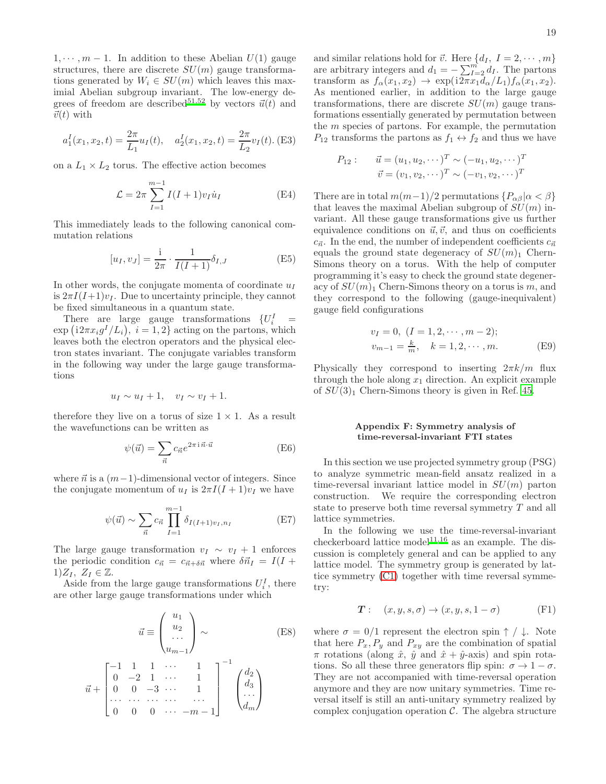$1, \dots, m-1$ . In addition to these Abelian  $U(1)$  gauge structures, there are discrete  $SU(m)$  gauge transformations generated by  $W_i \in SU(m)$  which leaves this maximial Abelian subgroup invariant. The low-energy de-grees of freedom are described<sup>[51](#page-22-47)[,52](#page-22-48)</sup> by vectors  $\vec{u}(t)$  and  $\vec{v}(t)$  with

$$
a_1^I(x_1, x_2, t) = \frac{2\pi}{L_1} u_I(t), \quad a_2^I(x_1, x_2, t) = \frac{2\pi}{L_2} v_I(t).
$$
 (E3)

on a  $L_1 \times L_2$  torus. The effective action becomes

$$
\mathcal{L} = 2\pi \sum_{I=1}^{m-1} I(I+1)v_I \dot{u}_I
$$
 (E4)

This immediately leads to the following canonical commutation relations

$$
[u_I, v_J] = \frac{1}{2\pi} \cdot \frac{1}{I(I+1)} \delta_{I,J}
$$
 (E5)

In other words, the conjugate momenta of coordinate  $u_I$ is  $2\pi I(I+1)v_I$ . Due to uncertainty principle, they cannot be fixed simultaneous in a quantum state.

There are large gauge transformations  $\{U_i^I\}$  =  $\exp(i2\pi x_i g^I/L_i), i = 1, 2$  acting on the partons, which leaves both the electron operators and the physical electron states invariant. The conjugate variables transform in the following way under the large gauge transformations

$$
u_I \sim u_I + 1, \quad v_I \sim v_I + 1.
$$

therefore they live on a torus of size  $1 \times 1$ . As a result the wavefunctions can be written as

$$
\psi(\vec{u}) = \sum_{\vec{n}} c_{\vec{n}} e^{2\pi i \vec{n} \cdot \vec{u}}
$$
 (E6)

where  $\vec{n}$  is a  $(m-1)$ -dimensional vector of integers. Since the conjugate momentum of  $u_I$  is  $2\pi I(I + 1)v_I$  we have

$$
\psi(\vec{u}) \sim \sum_{\vec{n}} c_{\vec{n}} \prod_{I=1}^{m-1} \delta_{I(I+1)v_I, n_I}
$$
(E7)

The large gauge transformation  $v_I \sim v_I + 1$  enforces the periodic condition  $c_{\vec{n}} = c_{\vec{n}+\delta\vec{n}}$  where  $\delta \vec{n}_I = I(I +$  $1)Z_I, Z_I \in \mathbb{Z}$ .

Aside from the large gauge transformations  $U_i^I$ , there are other large gauge transformations under which

<span id="page-18-0"></span>
$$
\vec{u} \equiv \begin{pmatrix} u_1 \\ u_2 \\ \dots \\ u_{m-1} \end{pmatrix} \sim \qquad (E8)
$$

$$
\vec{u} + \begin{bmatrix} -1 & 1 & 1 & \cdots & 1 \\ 0 & -2 & 1 & \cdots & 1 \\ 0 & 0 & -3 & \cdots & 1 \\ \cdots & \cdots & \cdots & \cdots & \cdots \\ 0 & 0 & 0 & \cdots & -m-1 \end{bmatrix}^{-1} \begin{pmatrix} d_2 \\ d_3 \\ \cdots \\ d_m \end{pmatrix}
$$

and similar relations hold for  $\vec{v}$ . Here  $\{d_I, I = 2, \dots, m\}$ are arbitrary integers and  $d_1 = -\sum_{I=2}^{m} d_I$ . The partons transform as  $f_{\alpha}(x_1, x_2) \rightarrow \exp(i2\pi x_1 d_{\alpha}/L_1) f_{\alpha}(x_1, x_2)$ . As mentioned earlier, in addition to the large gauge transformations, there are discrete  $SU(m)$  gauge transformations essentially generated by permutation between the  $m$  species of partons. For example, the permutation  $P_{12}$  transforms the partons as  $f_1 \leftrightarrow f_2$  and thus we have

$$
P_{12}: \quad \vec{u} = (u_1, u_2, \cdots)^T \sim (-u_1, u_2, \cdots)^T \vec{v} = (v_1, v_2, \cdots)^T \sim (-v_1, v_2, \cdots)^T
$$

There are in total  $m(m-1)/2$  permutations  $\{P_{\alpha\beta} | \alpha < \beta\}$ that leaves the maximal Abelian subgroup of  $SU(m)$  invariant. All these gauge transformations give us further equivalence conditions on  $\vec{u}, \vec{v}$ , and thus on coefficients  $c_{\vec{n}}$ . In the end, the number of independent coefficients  $c_{\vec{n}}$ equals the ground state degeneracy of  $SU(m)$  Chern-Simons theory on a torus. With the help of computer programming it's easy to check the ground state degeneracy of  $SU(m)$  Chern-Simons theory on a torus is m, and they correspond to the following (gauge-inequivalent) gauge field configurations

$$
v_I = 0, (I = 1, 2, \cdots, m - 2);
$$
  
\n
$$
v_{m-1} = \frac{k}{m}, \quad k = 1, 2, \cdots, m.
$$
 (E9)

Physically they correspond to inserting  $2\pi k/m$  flux through the hole along  $x_1$  direction. An explicit example of  $SU(3)<sub>1</sub>$  Chern-Simons theory is given in Ref. [45.](#page-22-38)

# <span id="page-18-1"></span>Appendix F: Symmetry analysis of time-reversal-invariant FTI states

In this section we use projected symmetry group (PSG) to analyze symmetric mean-field ansatz realized in a time-reversal invariant lattice model in  $SU(m)$  parton construction. We require the corresponding electron state to preserve both time reversal symmetry T and all lattice symmetries.

In the following we use the time-reversal-invariant checkerboard lattice model<sup>[11](#page-22-30)[,16](#page-22-49)</sup> as an example. The discussion is completely general and can be applied to any lattice model. The symmetry group is generated by lattice symmetry [\(C1\)](#page-16-3) together with time reversal symmetry:

$$
T: (x, y, s, \sigma) \to (x, y, s, 1 - \sigma)
$$
 (F1)

where  $\sigma = 0/1$  represent the electron spin  $\uparrow / \downarrow$ . Note that here  $P_x, P_y$  and  $P_{xy}$  are the combination of spatial  $\pi$  rotations (along  $\hat{x}$ ,  $\hat{y}$  and  $\hat{x} + \hat{y}$ -axis) and spin rotations. So all these three generators flip spin:  $\sigma \to 1 - \sigma$ . They are not accompanied with time-reversal operation anymore and they are now unitary symmetries. Time reversal itself is still an anti-unitary symmetry realized by complex conjugation operation  $C$ . The algebra structure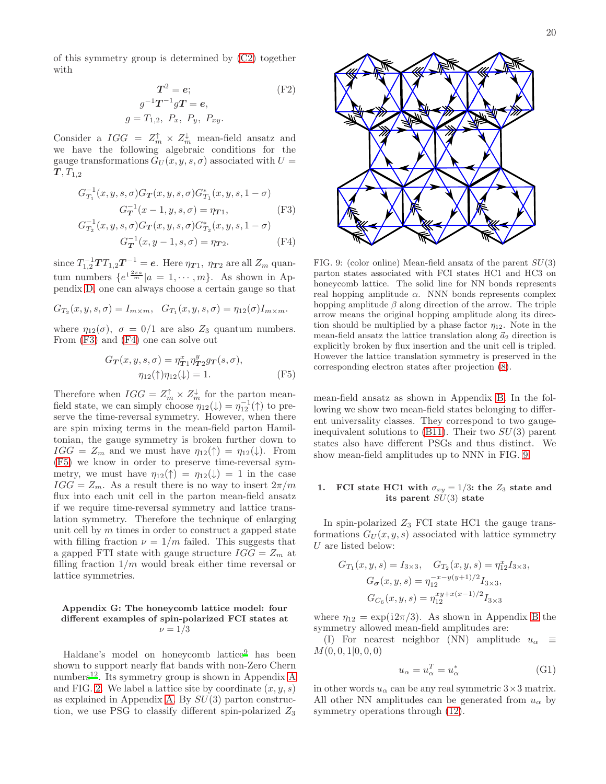of this symmetry group is determined by [\(C2\)](#page-16-2) together with

$$
T^{2} = e;
$$
 (F2)  
\n
$$
g^{-1}T^{-1}gT = e,
$$
  
\n
$$
g = T_{1,2}, \ P_{x}, \ P_{y}, \ P_{xy}.
$$

Consider a  $IGG = Z_m^{\uparrow} \times Z_m^{\downarrow}$  mean-field ansatz and we have the following algebraic conditions for the gauge transformations  $G_U(x, y, s, \sigma)$  associated with  $U =$  $\bm{T}, T_{1,2}$ 

<span id="page-19-1"></span>
$$
G_{T_1}^{-1}(x, y, s, \sigma)G_T(x, y, s, \sigma)G_{T_1}^*(x, y, s, 1 - \sigma)
$$
  
\n
$$
G_T^{-1}(x - 1, y, s, \sigma) = \eta_{T_1},
$$
\n(F3)  
\n
$$
G_{T_2}^{-1}(x, y, s, \sigma)G_T(x, y, s, \sigma)G_{T_2}^*(x, y, s, 1 - \sigma)
$$

$$
G_T^{-1}(x, y-1, s, \sigma) = \eta_{T2}.\tag{F4}
$$

since  $T_{1,2}^{-1}TT_{1,2}T^{-1} = e$ . Here  $\eta_{T1}$ ,  $\eta_{T2}$  are all  $Z_m$  quantum numbers  $\{e^{i\frac{2\pi a}{m}}|a=1,\cdots,m\}$ . As shown in Appendix [D,](#page-16-0) one can always choose a certain gauge so that

$$
G_{T_2}(x, y, s, \sigma) = I_{m \times m}, \quad G_{T_1}(x, y, s, \sigma) = \eta_{12}(\sigma) I_{m \times m}.
$$

where  $\eta_{12}(\sigma)$ ,  $\sigma = 0/1$  are also  $Z_3$  quantum numbers. From [\(F3\)](#page-19-1) and [\(F4\)](#page-19-1) one can solve out

<span id="page-19-2"></span>
$$
G_{\mathbf{T}}(x, y, s, \sigma) = \eta_{\mathbf{T}1}^x \eta_{\mathbf{T}2}^y g_{\mathbf{T}}(s, \sigma),
$$

$$
\eta_{12}(\uparrow)\eta_{12}(\downarrow) = 1.
$$
 (F5)

Therefore when  $IGG = Z_m^{\uparrow} \times Z_m^{\downarrow}$  for the parton meanfield state, we can simply choose  $\eta_{12}(\downarrow) = \eta_{12}^{-1}(\uparrow)$  to preserve the time-reversal symmetry. However, when there are spin mixing terms in the mean-field parton Hamiltonian, the gauge symmetry is broken further down to  $IGG = Z_m$  and we must have  $\eta_{12}(\uparrow) = \eta_{12}(\downarrow)$ . From [\(F5\)](#page-19-2) we know in order to preserve time-reversal symmetry, we must have  $\eta_{12}(\uparrow) = \eta_{12}(\downarrow) = 1$  in the case  $IGG = Z_m$ . As a result there is no way to insert  $2\pi/m$ flux into each unit cell in the parton mean-field ansatz if we require time-reversal symmetry and lattice translation symmetry. Therefore the technique of enlarging unit cell by  $m$  times in order to construct a gapped state with filling fraction  $\nu = 1/m$  failed. This suggests that a gapped FTI state with gauge structure  $IGG = Z_m$  at filling fraction  $1/m$  would break either time reversal or lattice symmetries.

### <span id="page-19-0"></span>Appendix G: The honeycomb lattice model: four different examples of spin-polarized FCI states at  $\nu = 1/3$

Haldane's model on honeycomb lattice<sup>[9](#page-22-8)</sup> has been shown to support nearly flat bands with non-Zero Chern numbers<sup>[12](#page-22-11)</sup>. Its symmetry group is shown in [A](#page-14-0)ppendix A and FIG. [2.](#page-6-1) We label a lattice site by coordinate  $(x, y, s)$ as explained in Appendix [A.](#page-14-0) By  $SU(3)$  parton construction, we use PSG to classify different spin-polarized  $Z_3$ 



<span id="page-19-3"></span>FIG. 9: (color online) Mean-field ansatz of the parent  $SU(3)$ parton states associated with FCI states HC1 and HC3 on honeycomb lattice. The solid line for NN bonds represents real hopping amplitude  $\alpha$ . NNN bonds represents complex hopping amplitude  $\beta$  along direction of the arrow. The triple arrow means the original hopping amplitude along its direction should be multiplied by a phase factor  $\eta_{12}$ . Note in the mean-field ansatz the lattice translation along  $\vec{a}_2$  direction is explicitly broken by flux insertion and the unit cell is tripled. However the lattice translation symmetry is preserved in the corresponding electron states after projection [\(8\)](#page-4-2).

mean-field ansatz as shown in Appendix [B.](#page-15-0) In the following we show two mean-field states belonging to different universality classes. They correspond to two gaugeinequivalent solutions to  $(B11)$ . Their two  $SU(3)$  parent states also have different PSGs and thus distinct. We show mean-field amplitudes up to NNN in FIG. [9.](#page-19-3)

#### FCI state HC1 with  $\sigma_{xy} = 1/3$ : the  $Z_3$  state and its parent  $SU(3)$  state

In spin-polarized  $Z_3$  FCI state HC1 the gauge transformations  $G_U(x, y, s)$  associated with lattice symmetry U are listed below:

$$
G_{T_1}(x, y, s) = I_{3 \times 3}, \quad G_{T_2}(x, y, s) = \eta_{12}^x I_{3 \times 3},
$$

$$
G_{\sigma}(x, y, s) = \eta_{12}^{-x - y(y+1)/2} I_{3 \times 3},
$$

$$
G_{C_6}(x, y, s) = \eta_{12}^{xy + x(x-1)/2} I_{3 \times 3}
$$

where  $\eta_{12} = \exp(i2\pi/3)$ . As shown in Appendix [B](#page-15-0) the symmetry allowed mean-field amplitudes are:

(I) For nearest neighbor (NN) amplitude  $u_{\alpha} \equiv$  $M(0, 0, 1|0, 0, 0)$ 

$$
u_{\alpha} = u_{\alpha}^T = u_{\alpha}^* \tag{G1}
$$

in other words  $u_{\alpha}$  can be any real symmetric  $3\times 3$  matrix. All other NN amplitudes can be generated from  $u_{\alpha}$  by symmetry operations through  $(12)$ .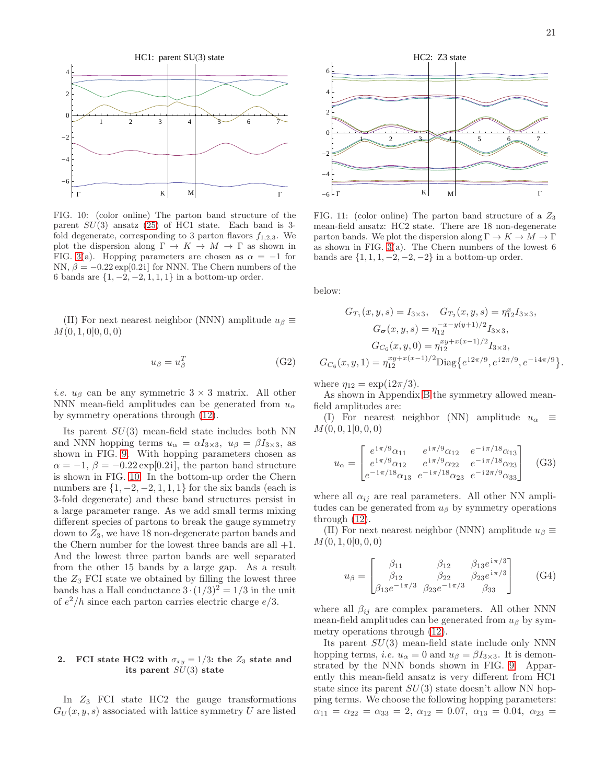

<span id="page-20-0"></span>FIG. 10: (color online) The parton band structure of the parent  $SU(3)$  ansatz  $(25)$  of HC1 state. Each band is 3fold degenerate, corresponding to 3 parton flavors  $f_{1,2,3}$ . We plot the dispersion along  $\Gamma \to K \to M \to \Gamma$  as shown in FIG. [3\(](#page-6-2)a). Hopping parameters are chosen as  $\alpha = -1$  for NN,  $\beta = -0.22 \exp[0.2i]$  for NNN. The Chern numbers of the 6 bands are  $\{1, -2, -2, 1, 1, 1\}$  in a bottom-up order.

(II) For next nearest neighbor (NNN) amplitude  $u_\beta \equiv$  $M(0, 1, 0|0, 0, 0)$ 

$$
u_{\beta} = u_{\beta}^T \tag{G2}
$$

*i.e.*  $u_{\beta}$  can be any symmetric  $3 \times 3$  matrix. All other NNN mean-field amplitudes can be generated from  $u_0$ by symmetry operations through [\(12\)](#page-5-3).

Its parent  $SU(3)$  mean-field state includes both NN and NNN hopping terms  $u_{\alpha} = \alpha I_{3 \times 3}$ ,  $u_{\beta} = \beta I_{3 \times 3}$ , as shown in FIG. [9.](#page-19-3) With hopping parameters chosen as  $\alpha = -1, \beta = -0.22 \exp[0.2i]$ , the parton band structure is shown in FIG. [10.](#page-20-0) In the bottom-up order the Chern numbers are  $\{1, -2, -2, 1, 1, 1\}$  for the six bands (each is 3-fold degenerate) and these band structures persist in a large parameter range. As we add small terms mixing different species of partons to break the gauge symmetry down to  $Z_3$ , we have 18 non-degenerate parton bands and the Chern number for the lowest three bands are all  $+1$ . And the lowest three parton bands are well separated from the other 15 bands by a large gap. As a result the  $Z_3$  FCI state we obtained by filling the lowest three bands has a Hall conductance  $3 \cdot (1/3)^2 = 1/3$  in the unit of  $e^2/h$  since each parton carries electric charge  $e/3$ .

### 2. FCI state HC2 with  $\sigma_{xy} = 1/3$ : the  $Z_3$  state and its parent  $SU(3)$  state

In  $Z_3$  FCI state HC2 the gauge transformations  $G_U(x, y, s)$  associated with lattice symmetry U are listed



<span id="page-20-1"></span>FIG. 11: (color online) The parton band structure of a  $Z_3$ mean-field ansatz: HC2 state. There are 18 non-degenerate parton bands. We plot the dispersion along  $\Gamma \to K \to M \to \Gamma$ as shown in FIG. [3\(](#page-6-2)a). The Chern numbers of the lowest 6 bands are  $\{1, 1, 1, -2, -2, -2\}$  in a bottom-up order.

below:

$$
G_{T_1}(x, y, s) = I_{3 \times 3}, \quad G_{T_2}(x, y, s) = \eta_{12}^x I_{3 \times 3},
$$

$$
G_{\sigma}(x, y, s) = \eta_{12}^{-x - y(y+1)/2} I_{3 \times 3},
$$

$$
G_{C_6}(x, y, 0) = \eta_{12}^{xy + x(x-1)/2} I_{3 \times 3},
$$

$$
G_{C_6}(x, y, 1) = \eta_{12}^{xy + x(x-1)/2} \text{Diag}\{e^{i2\pi/9}, e^{i2\pi/9}, e^{-i4\pi/9}\}.
$$

where  $\eta_{12} = \exp(i2\pi/3)$ .

As shown in Appendix [B](#page-15-0) the symmetry allowed meanfield amplitudes are:

(I) For nearest neighbor (NN) amplitude  $u_{\alpha} \equiv$  $M(0, 0, 1|0, 0, 0)$ 

$$
u_{\alpha} = \begin{bmatrix} e^{i\pi/9}\alpha_{11} & e^{i\pi/9}\alpha_{12} & e^{-i\pi/18}\alpha_{13} \\ e^{i\pi/9}\alpha_{12} & e^{i\pi/9}\alpha_{22} & e^{-i\pi/18}\alpha_{23} \\ e^{-i\pi/18}\alpha_{13} & e^{-i\pi/18}\alpha_{23} & e^{-i2\pi/9}\alpha_{33} \end{bmatrix}
$$
 (G3)

where all  $\alpha_{ij}$  are real parameters. All other NN amplitudes can be generated from  $u_\beta$  by symmetry operations through [\(12\)](#page-5-3).

(II) For next nearest neighbor (NNN) amplitude  $u_\beta \equiv$  $M(0, 1, 0|0, 0, 0)$ 

$$
u_{\beta} = \begin{bmatrix} \beta_{11} & \beta_{12} & \beta_{13}e^{i\pi/3} \\ \beta_{12} & \beta_{22} & \beta_{23}e^{i\pi/3} \\ \beta_{13}e^{-i\pi/3} & \beta_{23}e^{-i\pi/3} & \beta_{33} \end{bmatrix}
$$
 (G4)

where all  $\beta_{ij}$  are complex parameters. All other NNN mean-field amplitudes can be generated from  $u_\beta$  by symmetry operations through [\(12\)](#page-5-3).

Its parent  $SU(3)$  mean-field state include only NNN hopping terms, *i.e.*  $u_{\alpha} = 0$  and  $u_{\beta} = \beta I_{3 \times 3}$ . It is demonstrated by the NNN bonds shown in FIG. [9.](#page-19-3) Apparently this mean-field ansatz is very different from HC1 state since its parent  $SU(3)$  state doesn't allow NN hopping terms. We choose the following hopping parameters:  $\alpha_{11} = \alpha_{22} = \alpha_{33} = 2, \ \alpha_{12} = 0.07, \ \alpha_{13} = 0.04, \ \alpha_{23} =$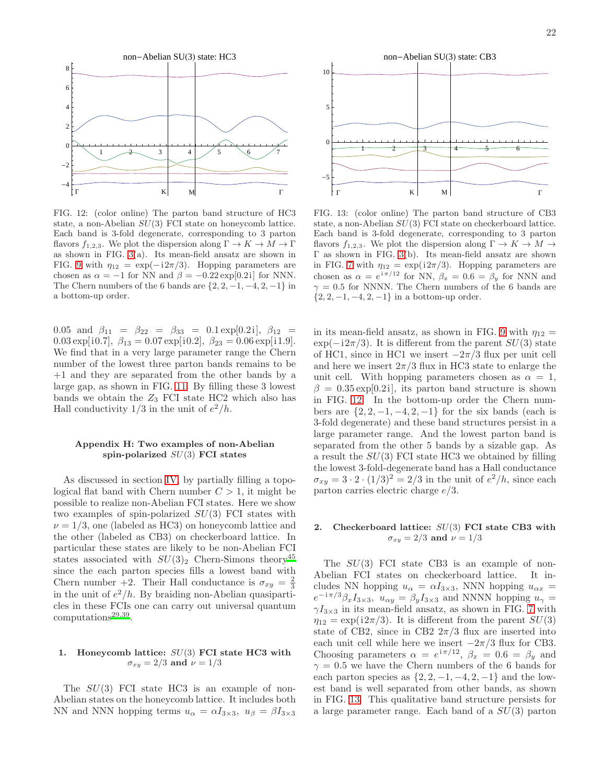

<span id="page-21-1"></span>FIG. 12: (color online) The parton band structure of HC3 state, a non-Abelian  $SU(3)$  FCI state on honeycomb lattice. Each band is 3-fold degenerate, corresponding to 3 parton flavors  $f_{1,2,3}$ . We plot the dispersion along  $\Gamma \to K \to M \to \Gamma$ as shown in FIG. [3\(](#page-6-2)a). Its mean-field ansatz are shown in FIG. [9](#page-19-3) with  $\eta_{12} = \exp(-i2\pi/3)$ . Hopping parameters are chosen as  $\alpha = -1$  for NN and  $\beta = -0.22 \exp[0.2i]$  for NNN. The Chern numbers of the 6 bands are  $\{2, 2, -1, -4, 2, -1\}$  in a bottom-up order.

0.05 and  $\beta_{11} = \beta_{22} = \beta_{33} = 0.1 \exp[0.2i], \ \beta_{12} =$ 0.03 exp[i0.7],  $\beta_{13} = 0.07 \exp[i0.2], \ \beta_{23} = 0.06 \exp[i1.9].$ We find that in a very large parameter range the Chern number of the lowest three parton bands remains to be +1 and they are separated from the other bands by a large gap, as shown in FIG. [11.](#page-20-1) By filling these 3 lowest bands we obtain the  $Z_3$  FCI state HC2 which also has Hall conductivity  $1/3$  in the unit of  $e^2/h$ .

### <span id="page-21-0"></span>Appendix H: Two examples of non-Abelian spin-polarized  $SU(3)$  FCI states

As discussed in section [IV,](#page-9-0) by partially filling a topological flat band with Chern number  $C > 1$ , it might be possible to realize non-Abelian FCI states. Here we show two examples of spin-polarized  $SU(3)$  FCI states with  $\nu = 1/3$ , one (labeled as HC3) on honeycomb lattice and the other (labeled as CB3) on checkerboard lattice. In particular these states are likely to be non-Abelian FCI states associated with  $SU(3)_2$  Chern-Simons theory<sup>[45](#page-22-38)</sup> since the each parton species fills a lowest band with Chern number +2. Their Hall conductance is  $\sigma_{xy} = \frac{2}{3}$ in the unit of  $e^2/h$ . By braiding non-Abelian quasiparticles in these FCIs one can carry out universal quantum computations<sup>[29](#page-22-20)[,39](#page-22-33)</sup>.

# 1. Honeycomb lattice:  $SU(3)$  FCI state HC3 with  $\sigma_{xy} = 2/3$  and  $\nu = 1/3$

The  $SU(3)$  FCI state HC3 is an example of non-Abelian states on the honeycomb lattice. It includes both NN and NNN hopping terms  $u_{\alpha} = \alpha I_{3 \times 3}$ ,  $u_{\beta} = \beta I_{3 \times 3}$ 



<span id="page-21-2"></span>FIG. 13: (color online) The parton band structure of CB3 state, a non-Abelian SU(3) FCI state on checkerboard lattice. Each band is 3-fold degenerate, corresponding to 3 parton flavors  $f_{1,2,3}$ . We plot the dispersion along  $\Gamma \to K \to M \to$ Γ as shown in FIG. [3\(](#page-6-2)b). Its mean-field ansatz are shown in FIG. [7](#page-8-1) with  $\eta_{12} = \exp(i2\pi/3)$ . Hopping parameters are chosen as  $\alpha = e^{i\pi/12}$  for NN,  $\beta_x = 0.6 = \beta_y$  for NNN and  $\gamma = 0.5$  for NNNN. The Chern numbers of the 6 bands are  $\{2, 2, -1, -4, 2, -1\}$  in a bottom-up order.

in its mean-field ansatz, as shown in FIG. [9](#page-19-3) with  $\eta_{12} =$  $\exp(-i2\pi/3)$ . It is different from the parent  $SU(3)$  state of HC1, since in HC1 we insert  $-2\pi/3$  flux per unit cell and here we insert  $2\pi/3$  flux in HC3 state to enlarge the unit cell. With hopping parameters chosen as  $\alpha = 1$ ,  $\beta = 0.35 \exp[0.2i]$ , its parton band structure is shown in FIG. [12.](#page-21-1) In the bottom-up order the Chern numbers are  $\{2, 2, -1, -4, 2, -1\}$  for the six bands (each is 3-fold degenerate) and these band structures persist in a large parameter range. And the lowest parton band is separated from the other 5 bands by a sizable gap. As a result the  $SU(3)$  FCI state HC3 we obtained by filling the lowest 3-fold-degenerate band has a Hall conductance  $\sigma_{xy} = 3 \cdot 2 \cdot (1/3)^2 = 2/3$  in the unit of  $e^2/h$ , since each parton carries electric charge e/3.

# 2. Checkerboard lattice:  $SU(3)$  FCI state CB3 with  $\sigma_{xy} = 2/3$  and  $\nu = 1/3$

The  $SU(3)$  FCI state CB3 is an example of non-Abelian FCI states on checkerboard lattice. It includes NN hopping  $u_{\alpha} = \alpha I_{3\times 3}$ , NNN hopping  $u_{\alpha x} =$  $e^{-i\pi/3}\beta_xI_{3\times3}$ ,  $u_{\alpha y} = \beta_yI_{3\times3}$  and NNNN hopping  $u_{\gamma} =$  $\gamma I_{3\times 3}$  in its mean-field ansatz, as shown in FIG. [7](#page-8-1) with  $\eta_{12} = \exp(i2\pi/3)$ . It is different from the parent  $SU(3)$ state of CB2, since in CB2  $2\pi/3$  flux are inserted into each unit cell while here we insert  $-2\pi/3$  flux for CB3. Choosing parameters  $\alpha = e^{i\pi/12}$ ,  $\beta_x = 0.6 = \beta_y$  and  $\gamma = 0.5$  we have the Chern numbers of the 6 bands for each parton species as  $\{2, 2, -1, -4, 2, -1\}$  and the lowest band is well separated from other bands, as shown in FIG. [13.](#page-21-2) This qualitative band structure persists for a large parameter range. Each band of a  $SU(3)$  parton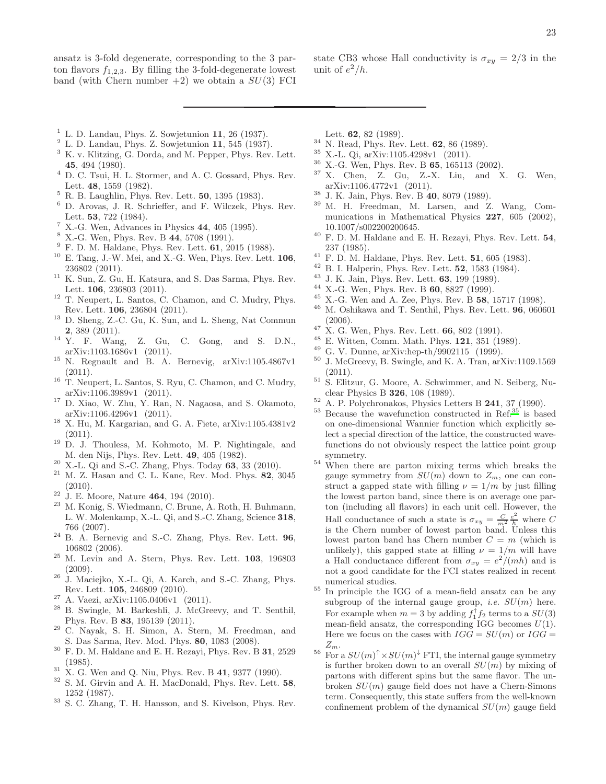- state CB3 whose Hall conductivity is  $\sigma_{xy} = 2/3$  in the unit of  $e^2/h$ .
- <span id="page-22-0"></span> $1$  L. D. Landau, Phys. Z. Sowietunion 11, 26 (1937).
- <span id="page-22-1"></span> $2$  L. D. Landau, Phys. Z. Sowjetunion 11, 545 (1937).
- <span id="page-22-2"></span><sup>3</sup> K. v. Klitzing, G. Dorda, and M. Pepper, Phys. Rev. Lett. 45, 494 (1980).
- <span id="page-22-3"></span><sup>4</sup> D. C. Tsui, H. L. Stormer, and A. C. Gossard, Phys. Rev. Lett. 48, 1559 (1982).
- <span id="page-22-4"></span><sup>5</sup> R. B. Laughlin, Phys. Rev. Lett. 50, 1395 (1983).
- <span id="page-22-5"></span><sup>6</sup> D. Arovas, J. R. Schrieffer, and F. Wilczek, Phys. Rev. Lett. 53, 722 (1984).
- <span id="page-22-6"></span><sup>7</sup> X.-G. Wen, Advances in Physics  $44$ ,  $405$  (1995).
- <span id="page-22-7"></span><sup>8</sup> X.-G. Wen, Phys. Rev. B 44, 5708 (1991).
- <span id="page-22-8"></span> $9$  F. D. M. Haldane, Phys. Rev. Lett.  $61$ , 2015 (1988).
- <span id="page-22-9"></span> $10$  E. Tang, J.-W. Mei, and X.-G. Wen, Phys. Rev. Lett.  $106$ , 236802 (2011).
- <span id="page-22-30"></span> $^{11}\,$  K. Sun, Z. Gu, H. Katsura, and S. Das Sarma, Phys. Rev. Lett. 106, 236803 (2011).
- <span id="page-22-11"></span> $^{12}$  T. Neupert, L. Santos, C. Chamon, and C. Mudry, Phys. Rev. Lett. 106, 236804 (2011).
- <span id="page-22-31"></span><sup>13</sup> D. Sheng, Z.-C. Gu, K. Sun, and L. Sheng, Nat Commun 2, 389 (2011).
- <sup>14</sup> Y. F. Wang, Z. Gu, C. Gong, and S. D.N., arXiv:1103.1686v1 (2011).
- <span id="page-22-32"></span><sup>15</sup> N. Regnault and B. A. Bernevig, arXiv:1105.4867v1  $(2011).$
- <span id="page-22-49"></span><sup>16</sup> T. Neupert, L. Santos, S. Ryu, C. Chamon, and C. Mudry, arXiv:1106.3989v1 (2011).
- <span id="page-22-12"></span><sup>17</sup> D. Xiao, W. Zhu, Y. Ran, N. Nagaosa, and S. Okamoto, arXiv:1106.4296v1 (2011).
- <span id="page-22-10"></span><sup>18</sup> X. Hu, M. Kargarian, and G. A. Fiete, arXiv:1105.4381v2  $(2011).$
- <span id="page-22-13"></span><sup>19</sup> D. J. Thouless, M. Kohmoto, M. P. Nightingale, and M. den Nijs, Phys. Rev. Lett. 49, 405 (1982).
- <span id="page-22-14"></span> $20\,$  X.-L. Qi and S.-C. Zhang, Phys. Today 63, 33 (2010).
- $21$  M. Z. Hasan and C. L. Kane, Rev. Mod. Phys. 82, 3045  $(2010).$
- <span id="page-22-15"></span> $22$  J. E. Moore, Nature 464, 194 (2010).
- <span id="page-22-16"></span><sup>23</sup> M. Konig, S. Wiedmann, C. Brune, A. Roth, H. Buhmann, L. W. Molenkamp, X.-L. Qi, and S.-C. Zhang, Science 318, 766 (2007).
- <span id="page-22-17"></span><sup>24</sup> B. A. Bernevig and S.-C. Zhang, Phys. Rev. Lett. 96, 106802 (2006).
- <span id="page-22-19"></span><sup>25</sup> M. Levin and A. Stern, Phys. Rev. Lett. 103, 196803  $(2009).$
- $26\,$  J. Maciejko, X.-L. Qi, A. Karch, and S.-C. Zhang, Phys. Rev. Lett. 105, 246809 (2010).
- <sup>27</sup> A. Vaezi, arXiv:1105.0406v1 (2011).
- <span id="page-22-18"></span><sup>28</sup> B. Swingle, M. Barkeshli, J. McGreevy, and T. Senthil, Phys. Rev. B 83, 195139 (2011).
- <span id="page-22-20"></span><sup>29</sup> C. Nayak, S. H. Simon, A. Stern, M. Freedman, and S. Das Sarma, Rev. Mod. Phys. 80, 1083 (2008).
- <span id="page-22-21"></span> $^{30}\,$  F. D. M. Haldane and E. H. Rezayi, Phys. Rev. B  $\bf 31,\,2529$ (1985).
- <span id="page-22-22"></span> $31\,$  X. G. Wen and Q. Niu, Phys. Rev. B 41, 9377 (1990).
- <span id="page-22-23"></span><sup>32</sup> S. M. Girvin and A. H. MacDonald, Phys. Rev. Lett. 58, 1252 (1987).
- <sup>33</sup> S. C. Zhang, T. H. Hansson, and S. Kivelson, Phys. Rev.

Lett. 62, 82 (1989).

- <span id="page-22-24"></span> $^{34}$  N. Read, Phys. Rev. Lett. **62**, 86 (1989).
- <span id="page-22-25"></span> $\frac{35}{36}$  X.-L. Qi, arXiv:1105.4298v1 (2011).
- <span id="page-22-27"></span> $\frac{36}{37}$  X.-G. Wen, Phys. Rev. B 65, 165113 (2002).
- <span id="page-22-28"></span><sup>37</sup> X. Chen, Z. Gu, Z.-X. Liu, and X. G. Wen, arXiv:1106.4772v1 (2011).
- <span id="page-22-29"></span> $\frac{38}{39}$  J. K. Jain, Phys. Rev. B  $\frac{40}{39}$ , 8079 (1989).
- <span id="page-22-33"></span><sup>39</sup> M. H. Freedman, M. Larsen, and Z. Wang, Communications in Mathematical Physics 227, 605 (2002), 10.1007/s002200200645.
- <span id="page-22-34"></span> $40$  F. D. M. Haldane and E. H. Rezayi, Phys. Rev. Lett.  $54$ , 237 (1985).
- <span id="page-22-35"></span> $41$  F. D. M. Haldane, Phys. Rev. Lett. **51**, 605 (1983).
- <sup>42</sup> B. I. Halperin, Phys. Rev. Lett. 52, 1583 (1984).
- <span id="page-22-36"></span><sup>43</sup> J. K. Jain, Phys. Rev. Lett. **63**, 199 (1989).<br><sup>44</sup> Y. G. Wan, Phys. Rev. B. 60, 8897 (1000).
- <span id="page-22-37"></span><sup>44</sup> X.-G. Wen, Phys. Rev. B **60**, 8827 (1999).
- <span id="page-22-38"></span> $^{45}$  X.-G. Wen and A. Zee, Phys. Rev. B 58, 15717 (1998).<br> $^{46}$  M. Ochilenna and T. Sonthill Phys. Rev. Lett. **06**, 0606
- <span id="page-22-39"></span><sup>46</sup> M. Oshikawa and T. Senthil, Phys. Rev. Lett. 96, 060601 (2006).
- <span id="page-22-42"></span><sup>47</sup> X. G. Wen, Phys. Rev. Lett. **66**, 802 (1991).
- <span id="page-22-43"></span><sup>48</sup> E. Witten, Comm. Math. Phys. **121**, 351 (1989).
- <span id="page-22-44"></span><sup>49</sup> G. V. Dunne, arXiv:hep-th/9902115 (1999).<br> $^{50}$  J. McCroow: B. Swingle, and K. A. Tran ar
- <span id="page-22-46"></span><sup>50</sup> J. McGreevy, B. Swingle, and K. A. Tran, arXiv:1109.1569 (2011).
- <span id="page-22-47"></span><sup>51</sup> S. Elitzur, G. Moore, A. Schwimmer, and N. Seiberg, Nuclear Physics B 326, 108 (1989).
- <span id="page-22-48"></span><sup>52</sup> A. P. Polychronakos, Physics Letters B **241**, 37 (1990).<br><sup>53</sup> Peasure the wavefunction constructed in Bef <sup>35</sup> is because
- <span id="page-22-26"></span>Because the wavefunction constructed in Ref[.](#page-22-25) $35$  is based on one-dimensional Wannier function which explicitly select a special direction of the lattice, the constructed wavefunctions do not obviously respect the lattice point group symmetry.
- <span id="page-22-40"></span> $54$  When there are parton mixing terms which breaks the gauge symmetry from  $SU(m)$  down to  $Z_m$ , one can construct a gapped state with filling  $\nu = 1/m$  by just filling the lowest parton band, since there is on average one parton (including all flavors) in each unit cell. However, the Hall conductance of such a state is  $\sigma_{xy} = \frac{C}{m^2} \frac{e^2}{h}$  where C is the Chern number of lowest parton band. Unless this lowest parton band has Chern number  $C = m$  (which is unlikely), this gapped state at filling  $\nu = 1/m$  will have a Hall conductance different from  $\sigma_{xy} = e^2/(mh)$  and is not a good candidate for the FCI states realized in recent numerical studies.
- <span id="page-22-41"></span><sup>55</sup> In principle the IGG of a mean-field ansatz can be any subgroup of the internal gauge group, *i.e.*  $SU(m)$  here. For example when  $m = 3$  by adding  $f_1^{\dagger} f_2$  terms to a  $SU(3)$ mean-field ansatz, the corresponding IGG becomes  $U(1)$ . Here we focus on the cases with  $IGG = SU(m)$  or  $IGG =$  $Z_m$ .
- <span id="page-22-45"></span><sup>56</sup> For a  $SU(m)^{\dagger} \times SU(m)^{\dagger}$  FTI, the internal gauge symmetry is further broken down to an overall  $SU(m)$  by mixing of partons with different spins but the same flavor. The unbroken  $SU(m)$  gauge field does not have a Chern-Simons term. Consequently, this state suffers from the well-known confinement problem of the dynamical  $SU(m)$  gauge field